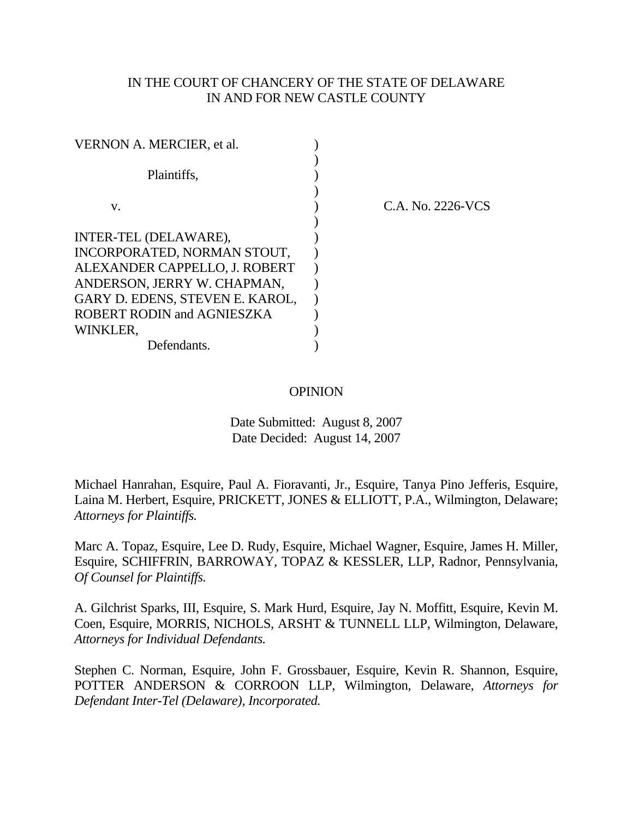# IN THE COURT OF CHANCERY OF THE STATE OF DELAWARE IN AND FOR NEW CASTLE COUNTY

| C.A. No. 2226-VCS |
|-------------------|
|                   |
|                   |
|                   |
|                   |
|                   |
|                   |
|                   |
|                   |
|                   |

## OPINION

Date Submitted: August 8, 2007 Date Decided: August 14, 2007

Michael Hanrahan, Esquire, Paul A. Fioravanti, Jr., Esquire, Tanya Pino Jefferis, Esquire, Laina M. Herbert, Esquire, PRICKETT, JONES & ELLIOTT, P.A., Wilmington, Delaware; *Attorneys for Plaintiffs.* 

Marc A. Topaz, Esquire, Lee D. Rudy, Esquire, Michael Wagner, Esquire, James H. Miller, Esquire, SCHIFFRIN, BARROWAY, TOPAZ & KESSLER, LLP, Radnor, Pennsylvania, *Of Counsel for Plaintiffs.* 

A. Gilchrist Sparks, III, Esquire, S. Mark Hurd, Esquire, Jay N. Moffitt, Esquire, Kevin M. Coen, Esquire, MORRIS, NICHOLS, ARSHT & TUNNELL LLP, Wilmington, Delaware, *Attorneys for Individual Defendants.* 

Stephen C. Norman, Esquire, John F. Grossbauer, Esquire, Kevin R. Shannon, Esquire, POTTER ANDERSON & CORROON LLP, Wilmington, Delaware, *Attorneys for Defendant Inter-Tel (Delaware), Incorporated.*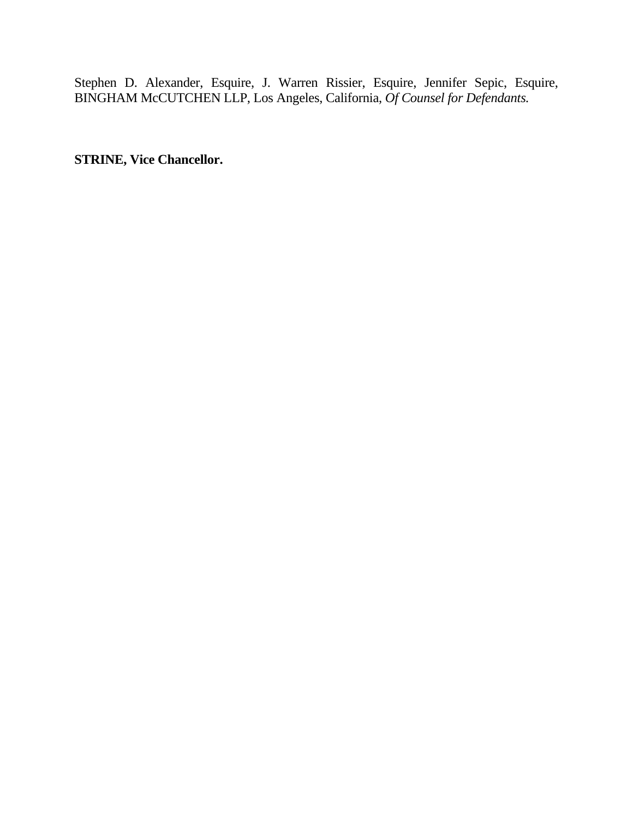Stephen D. Alexander, Esquire, J. Warren Rissier, Esquire, Jennifer Sepic, Esquire, BINGHAM McCUTCHEN LLP, Los Angeles, California, *Of Counsel for Defendants.* 

**STRINE, Vice Chancellor.**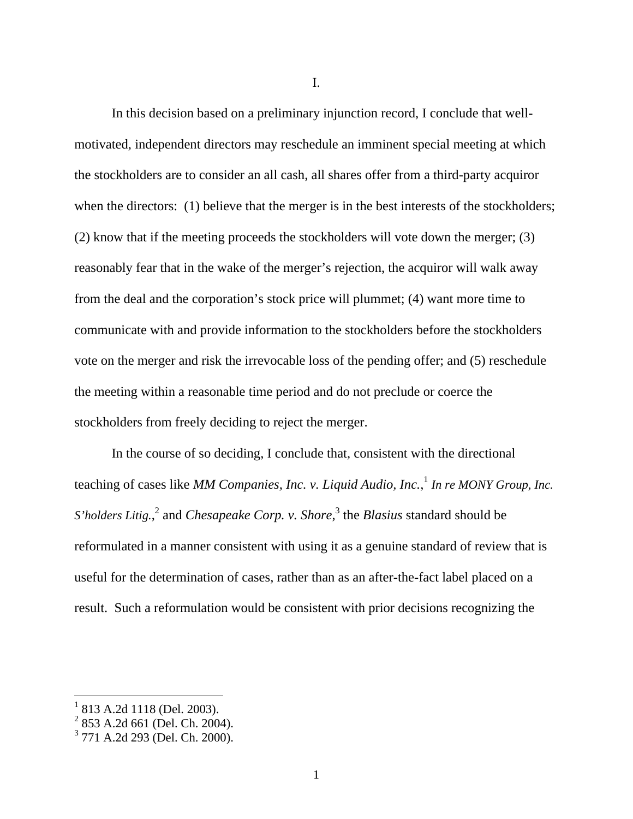I.

In this decision based on a preliminary injunction record, I conclude that wellmotivated, independent directors may reschedule an imminent special meeting at which the stockholders are to consider an all cash, all shares offer from a third-party acquiror when the directors: (1) believe that the merger is in the best interests of the stockholders; (2) know that if the meeting proceeds the stockholders will vote down the merger; (3) reasonably fear that in the wake of the merger's rejection, the acquiror will walk away from the deal and the corporation's stock price will plummet; (4) want more time to communicate with and provide information to the stockholders before the stockholders vote on the merger and risk the irrevocable loss of the pending offer; and (5) reschedule the meeting within a reasonable time period and do not preclude or coerce the stockholders from freely deciding to reject the merger.

 In the course of so deciding, I conclude that, consistent with the directional teaching of cases like *MM Companies, Inc. v. Liquid Audio, Inc.*, <sup>1</sup> *In re MONY Group, Inc. S*'holders Litig.,<sup>2</sup> and *Chesapeake Corp. v. Shore*,<sup>3</sup> the *Blasius* standard should be reformulated in a manner consistent with using it as a genuine standard of review that is useful for the determination of cases, rather than as an after-the-fact label placed on a result. Such a reformulation would be consistent with prior decisions recognizing the

<sup>1</sup> 813 A.2d 1118 (Del. 2003).

<sup>&</sup>lt;sup>2</sup> 853 A.2d 661 (Del. Ch. 2004).

<sup>3</sup> 771 A.2d 293 (Del. Ch. 2000).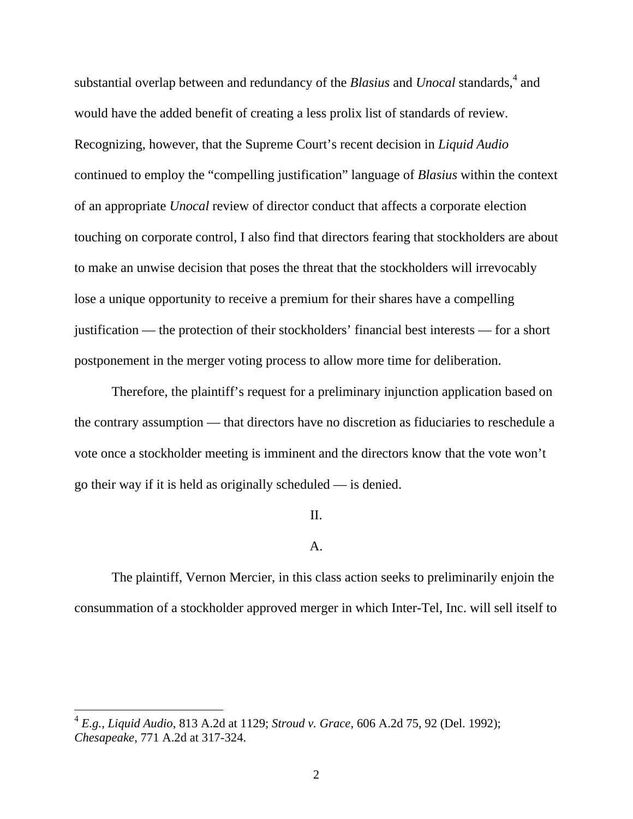substantial overlap between and redundancy of the *Blasius* and *Unocal* standards,<sup>4</sup> and would have the added benefit of creating a less prolix list of standards of review. Recognizing, however, that the Supreme Court's recent decision in *Liquid Audio* continued to employ the "compelling justification" language of *Blasius* within the context of an appropriate *Unocal* review of director conduct that affects a corporate election touching on corporate control, I also find that directors fearing that stockholders are about to make an unwise decision that poses the threat that the stockholders will irrevocably lose a unique opportunity to receive a premium for their shares have a compelling justification — the protection of their stockholders' financial best interests — for a short postponement in the merger voting process to allow more time for deliberation.

 Therefore, the plaintiff's request for a preliminary injunction application based on the contrary assumption — that directors have no discretion as fiduciaries to reschedule a vote once a stockholder meeting is imminent and the directors know that the vote won't go their way if it is held as originally scheduled — is denied.

# II.

## A.

The plaintiff, Vernon Mercier, in this class action seeks to preliminarily enjoin the consummation of a stockholder approved merger in which Inter-Tel, Inc. will sell itself to

<sup>4</sup> *E.g.*, *Liquid Audio*, 813 A.2d at 1129; *Stroud v. Grace*, 606 A.2d 75, 92 (Del. 1992); *Chesapeake*, 771 A.2d at 317-324.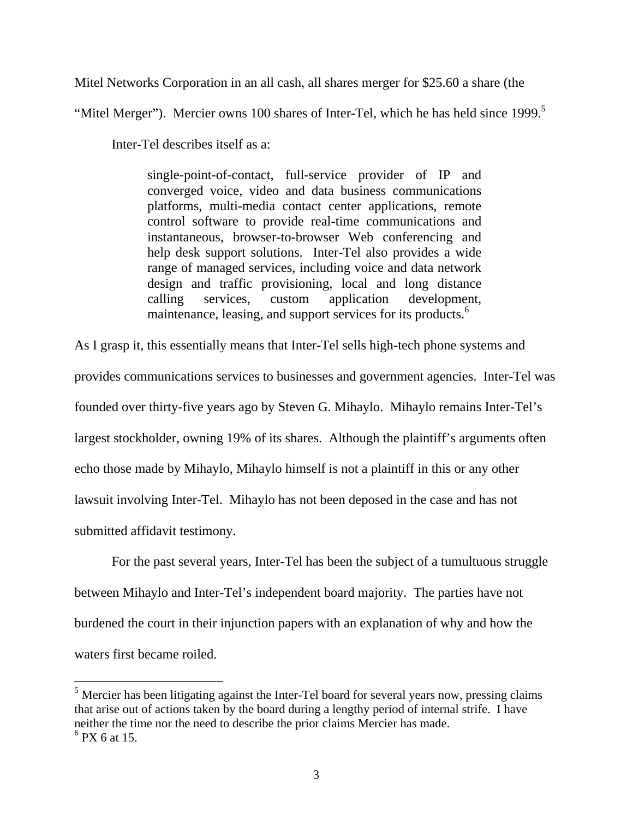Mitel Networks Corporation in an all cash, all shares merger for \$25.60 a share (the

"Mitel Merger"). Mercier owns 100 shares of Inter-Tel, which he has held since  $1999$ .<sup>5</sup>

Inter-Tel describes itself as a:

single-point-of-contact, full-service provider of IP and converged voice, video and data business communications platforms, multi-media contact center applications, remote control software to provide real-time communications and instantaneous, browser-to-browser Web conferencing and help desk support solutions. Inter-Tel also provides a wide range of managed services, including voice and data network design and traffic provisioning, local and long distance calling services, custom application development, maintenance, leasing, and support services for its products.<sup>6</sup>

As I grasp it, this essentially means that Inter-Tel sells high-tech phone systems and provides communications services to businesses and government agencies. Inter-Tel was founded over thirty-five years ago by Steven G. Mihaylo. Mihaylo remains Inter-Tel's largest stockholder, owning 19% of its shares. Although the plaintiff's arguments often echo those made by Mihaylo, Mihaylo himself is not a plaintiff in this or any other lawsuit involving Inter-Tel. Mihaylo has not been deposed in the case and has not submitted affidavit testimony.

For the past several years, Inter-Tel has been the subject of a tumultuous struggle between Mihaylo and Inter-Tel's independent board majority. The parties have not burdened the court in their injunction papers with an explanation of why and how the waters first became roiled.

<sup>&</sup>lt;sup>5</sup> Mercier has been litigating against the Inter-Tel board for several years now, pressing claims that arise out of actions taken by the board during a lengthy period of internal strife. I have neither the time nor the need to describe the prior claims Mercier has made.

<sup>6</sup> PX 6 at 15.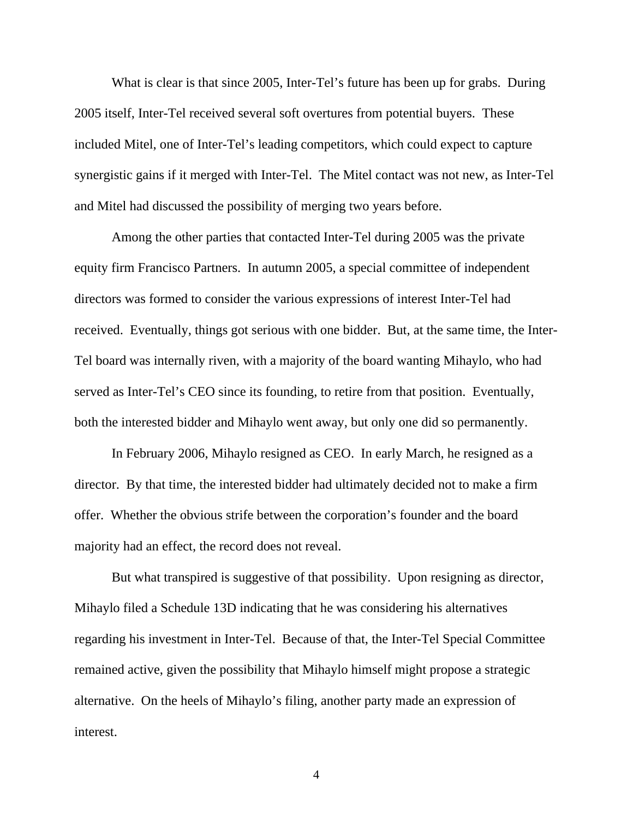What is clear is that since 2005, Inter-Tel's future has been up for grabs. During 2005 itself, Inter-Tel received several soft overtures from potential buyers. These included Mitel, one of Inter-Tel's leading competitors, which could expect to capture synergistic gains if it merged with Inter-Tel. The Mitel contact was not new, as Inter-Tel and Mitel had discussed the possibility of merging two years before.

Among the other parties that contacted Inter-Tel during 2005 was the private equity firm Francisco Partners. In autumn 2005, a special committee of independent directors was formed to consider the various expressions of interest Inter-Tel had received. Eventually, things got serious with one bidder. But, at the same time, the Inter-Tel board was internally riven, with a majority of the board wanting Mihaylo, who had served as Inter-Tel's CEO since its founding, to retire from that position. Eventually, both the interested bidder and Mihaylo went away, but only one did so permanently.

In February 2006, Mihaylo resigned as CEO. In early March, he resigned as a director. By that time, the interested bidder had ultimately decided not to make a firm offer. Whether the obvious strife between the corporation's founder and the board majority had an effect, the record does not reveal.

But what transpired is suggestive of that possibility. Upon resigning as director, Mihaylo filed a Schedule 13D indicating that he was considering his alternatives regarding his investment in Inter-Tel. Because of that, the Inter-Tel Special Committee remained active, given the possibility that Mihaylo himself might propose a strategic alternative. On the heels of Mihaylo's filing, another party made an expression of interest.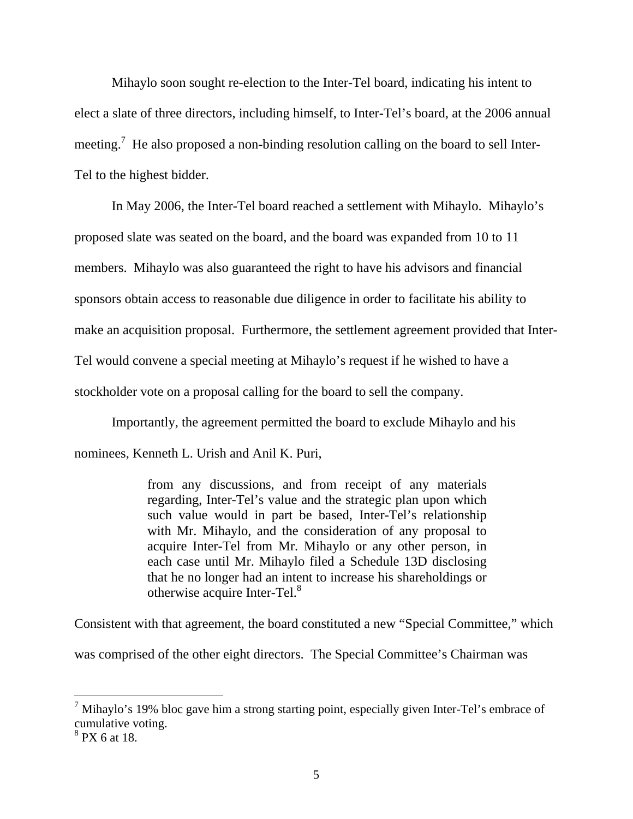Mihaylo soon sought re-election to the Inter-Tel board, indicating his intent to elect a slate of three directors, including himself, to Inter-Tel's board, at the 2006 annual meeting.<sup>7</sup> He also proposed a non-binding resolution calling on the board to sell Inter-Tel to the highest bidder.

In May 2006, the Inter-Tel board reached a settlement with Mihaylo. Mihaylo's proposed slate was seated on the board, and the board was expanded from 10 to 11 members. Mihaylo was also guaranteed the right to have his advisors and financial sponsors obtain access to reasonable due diligence in order to facilitate his ability to make an acquisition proposal. Furthermore, the settlement agreement provided that Inter-Tel would convene a special meeting at Mihaylo's request if he wished to have a stockholder vote on a proposal calling for the board to sell the company.

Importantly, the agreement permitted the board to exclude Mihaylo and his nominees, Kenneth L. Urish and Anil K. Puri,

> from any discussions, and from receipt of any materials regarding, Inter-Tel's value and the strategic plan upon which such value would in part be based, Inter-Tel's relationship with Mr. Mihaylo, and the consideration of any proposal to acquire Inter-Tel from Mr. Mihaylo or any other person, in each case until Mr. Mihaylo filed a Schedule 13D disclosing that he no longer had an intent to increase his shareholdings or otherwise acquire Inter-Tel. $8$

Consistent with that agreement, the board constituted a new "Special Committee," which was comprised of the other eight directors. The Special Committee's Chairman was

 $^7$  Mihaylo's 19% bloc gave him a strong starting point, especially given Inter-Tel's embrace of cumulative voting.

<sup>8</sup> PX 6 at 18.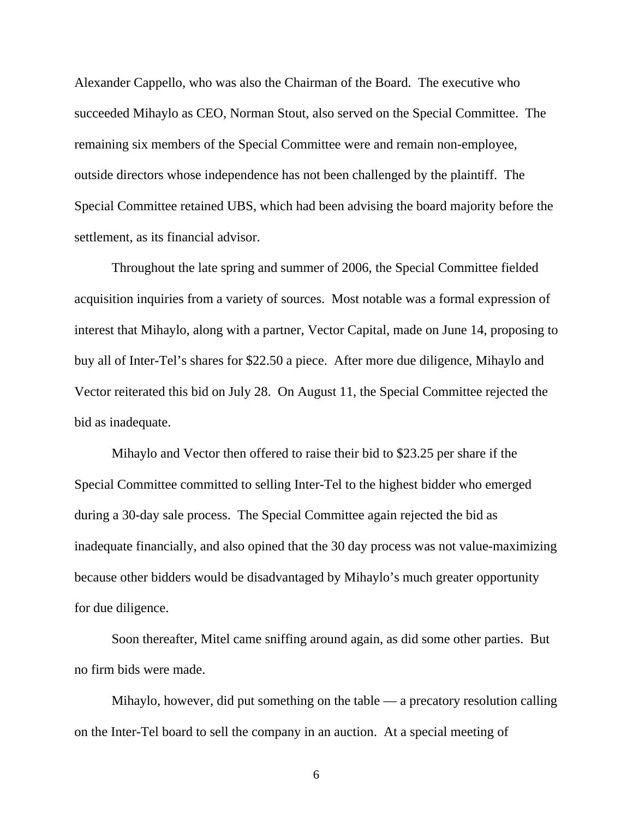Alexander Cappello, who was also the Chairman of the Board. The executive who succeeded Mihaylo as CEO, Norman Stout, also served on the Special Committee. The remaining six members of the Special Committee were and remain non-employee, outside directors whose independence has not been challenged by the plaintiff. The Special Committee retained UBS, which had been advising the board majority before the settlement, as its financial advisor.

Throughout the late spring and summer of 2006, the Special Committee fielded acquisition inquiries from a variety of sources. Most notable was a formal expression of interest that Mihaylo, along with a partner, Vector Capital, made on June 14, proposing to buy all of Inter-Tel's shares for \$22.50 a piece. After more due diligence, Mihaylo and Vector reiterated this bid on July 28. On August 11, the Special Committee rejected the bid as inadequate.

Mihaylo and Vector then offered to raise their bid to \$23.25 per share if the Special Committee committed to selling Inter-Tel to the highest bidder who emerged during a 30-day sale process. The Special Committee again rejected the bid as inadequate financially, and also opined that the 30 day process was not value-maximizing because other bidders would be disadvantaged by Mihaylo's much greater opportunity for due diligence.

Soon thereafter, Mitel came sniffing around again, as did some other parties. But no firm bids were made.

Mihaylo, however, did put something on the table — a precatory resolution calling on the Inter-Tel board to sell the company in an auction. At a special meeting of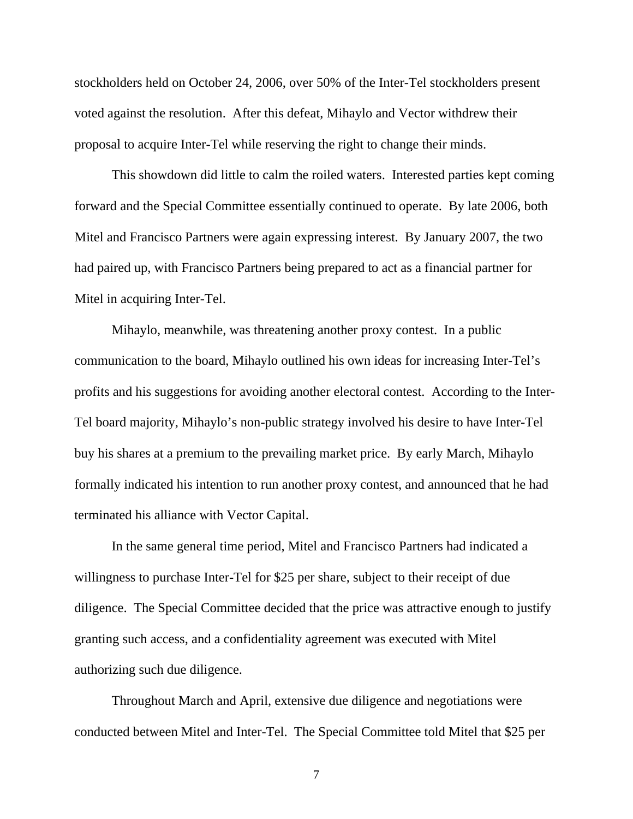stockholders held on October 24, 2006, over 50% of the Inter-Tel stockholders present voted against the resolution. After this defeat, Mihaylo and Vector withdrew their proposal to acquire Inter-Tel while reserving the right to change their minds.

This showdown did little to calm the roiled waters. Interested parties kept coming forward and the Special Committee essentially continued to operate. By late 2006, both Mitel and Francisco Partners were again expressing interest. By January 2007, the two had paired up, with Francisco Partners being prepared to act as a financial partner for Mitel in acquiring Inter-Tel.

Mihaylo, meanwhile, was threatening another proxy contest. In a public communication to the board, Mihaylo outlined his own ideas for increasing Inter-Tel's profits and his suggestions for avoiding another electoral contest. According to the Inter-Tel board majority, Mihaylo's non-public strategy involved his desire to have Inter-Tel buy his shares at a premium to the prevailing market price. By early March, Mihaylo formally indicated his intention to run another proxy contest, and announced that he had terminated his alliance with Vector Capital.

In the same general time period, Mitel and Francisco Partners had indicated a willingness to purchase Inter-Tel for \$25 per share, subject to their receipt of due diligence. The Special Committee decided that the price was attractive enough to justify granting such access, and a confidentiality agreement was executed with Mitel authorizing such due diligence.

Throughout March and April, extensive due diligence and negotiations were conducted between Mitel and Inter-Tel. The Special Committee told Mitel that \$25 per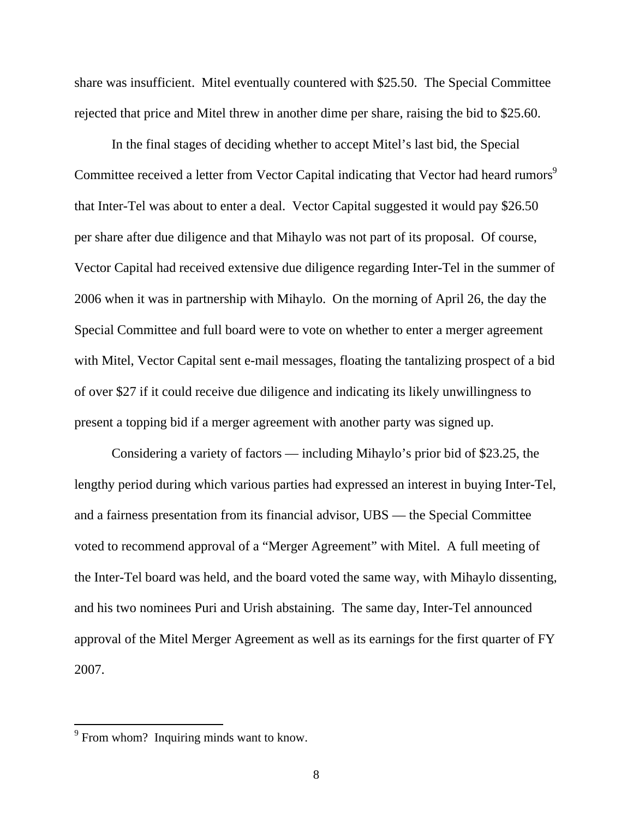share was insufficient. Mitel eventually countered with \$25.50. The Special Committee rejected that price and Mitel threw in another dime per share, raising the bid to \$25.60.

In the final stages of deciding whether to accept Mitel's last bid, the Special Committee received a letter from Vector Capital indicating that Vector had heard rumors<sup>9</sup> that Inter-Tel was about to enter a deal. Vector Capital suggested it would pay \$26.50 per share after due diligence and that Mihaylo was not part of its proposal. Of course, Vector Capital had received extensive due diligence regarding Inter-Tel in the summer of 2006 when it was in partnership with Mihaylo. On the morning of April 26, the day the Special Committee and full board were to vote on whether to enter a merger agreement with Mitel, Vector Capital sent e-mail messages, floating the tantalizing prospect of a bid of over \$27 if it could receive due diligence and indicating its likely unwillingness to present a topping bid if a merger agreement with another party was signed up.

Considering a variety of factors — including Mihaylo's prior bid of \$23.25, the lengthy period during which various parties had expressed an interest in buying Inter-Tel, and a fairness presentation from its financial advisor, UBS — the Special Committee voted to recommend approval of a "Merger Agreement" with Mitel. A full meeting of the Inter-Tel board was held, and the board voted the same way, with Mihaylo dissenting, and his two nominees Puri and Urish abstaining. The same day, Inter-Tel announced approval of the Mitel Merger Agreement as well as its earnings for the first quarter of FY 2007.

 $9^9$  From whom? Inquiring minds want to know.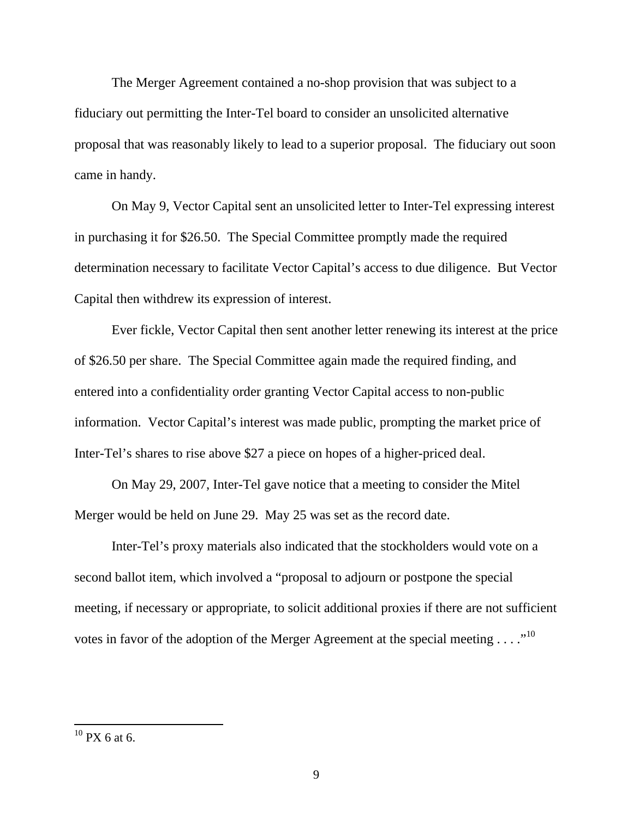The Merger Agreement contained a no-shop provision that was subject to a fiduciary out permitting the Inter-Tel board to consider an unsolicited alternative proposal that was reasonably likely to lead to a superior proposal. The fiduciary out soon came in handy.

On May 9, Vector Capital sent an unsolicited letter to Inter-Tel expressing interest in purchasing it for \$26.50. The Special Committee promptly made the required determination necessary to facilitate Vector Capital's access to due diligence. But Vector Capital then withdrew its expression of interest.

Ever fickle, Vector Capital then sent another letter renewing its interest at the price of \$26.50 per share. The Special Committee again made the required finding, and entered into a confidentiality order granting Vector Capital access to non-public information. Vector Capital's interest was made public, prompting the market price of Inter-Tel's shares to rise above \$27 a piece on hopes of a higher-priced deal.

On May 29, 2007, Inter-Tel gave notice that a meeting to consider the Mitel Merger would be held on June 29. May 25 was set as the record date.

Inter-Tel's proxy materials also indicated that the stockholders would vote on a second ballot item, which involved a "proposal to adjourn or postpone the special meeting, if necessary or appropriate, to solicit additional proxies if there are not sufficient votes in favor of the adoption of the Merger Agreement at the special meeting  $\dots$ ."<sup>10</sup>

 $10$  PX 6 at 6.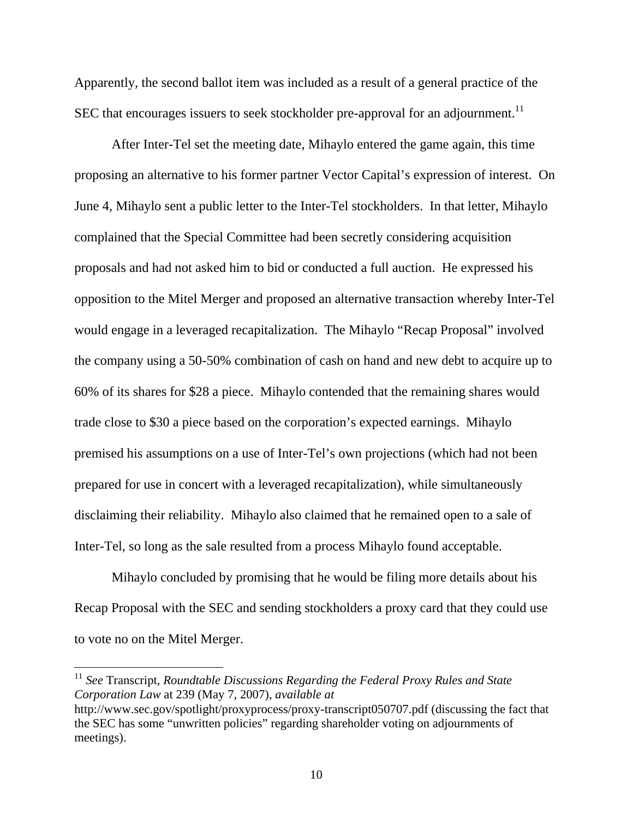Apparently, the second ballot item was included as a result of a general practice of the SEC that encourages issuers to seek stockholder pre-approval for an adjournment.<sup>11</sup>

After Inter-Tel set the meeting date, Mihaylo entered the game again, this time proposing an alternative to his former partner Vector Capital's expression of interest. On June 4, Mihaylo sent a public letter to the Inter-Tel stockholders. In that letter, Mihaylo complained that the Special Committee had been secretly considering acquisition proposals and had not asked him to bid or conducted a full auction. He expressed his opposition to the Mitel Merger and proposed an alternative transaction whereby Inter-Tel would engage in a leveraged recapitalization. The Mihaylo "Recap Proposal" involved the company using a 50-50% combination of cash on hand and new debt to acquire up to 60% of its shares for \$28 a piece. Mihaylo contended that the remaining shares would trade close to \$30 a piece based on the corporation's expected earnings. Mihaylo premised his assumptions on a use of Inter-Tel's own projections (which had not been prepared for use in concert with a leveraged recapitalization), while simultaneously disclaiming their reliability. Mihaylo also claimed that he remained open to a sale of Inter-Tel, so long as the sale resulted from a process Mihaylo found acceptable.

Mihaylo concluded by promising that he would be filing more details about his Recap Proposal with the SEC and sending stockholders a proxy card that they could use to vote no on the Mitel Merger.

<sup>11</sup> *See* Transcript, *Roundtable Discussions Regarding the Federal Proxy Rules and State Corporation Law* at 239 (May 7, 2007), *available at*  http://www.sec.gov/spotlight/proxyprocess/proxy-transcript050707.pdf (discussing the fact that

the SEC has some "unwritten policies" regarding shareholder voting on adjournments of meetings).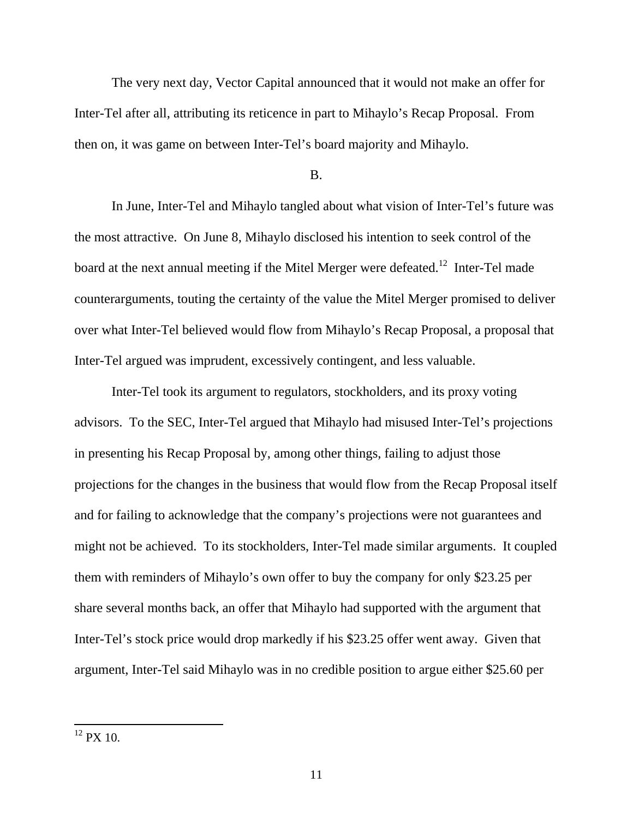The very next day, Vector Capital announced that it would not make an offer for Inter-Tel after all, attributing its reticence in part to Mihaylo's Recap Proposal. From then on, it was game on between Inter-Tel's board majority and Mihaylo.

#### B.

In June, Inter-Tel and Mihaylo tangled about what vision of Inter-Tel's future was the most attractive. On June 8, Mihaylo disclosed his intention to seek control of the board at the next annual meeting if the Mitel Merger were defeated.<sup>12</sup> Inter-Tel made counterarguments, touting the certainty of the value the Mitel Merger promised to deliver over what Inter-Tel believed would flow from Mihaylo's Recap Proposal, a proposal that Inter-Tel argued was imprudent, excessively contingent, and less valuable.

Inter-Tel took its argument to regulators, stockholders, and its proxy voting advisors. To the SEC, Inter-Tel argued that Mihaylo had misused Inter-Tel's projections in presenting his Recap Proposal by, among other things, failing to adjust those projections for the changes in the business that would flow from the Recap Proposal itself and for failing to acknowledge that the company's projections were not guarantees and might not be achieved. To its stockholders, Inter-Tel made similar arguments. It coupled them with reminders of Mihaylo's own offer to buy the company for only \$23.25 per share several months back, an offer that Mihaylo had supported with the argument that Inter-Tel's stock price would drop markedly if his \$23.25 offer went away. Given that argument, Inter-Tel said Mihaylo was in no credible position to argue either \$25.60 per

 $12$  PX 10.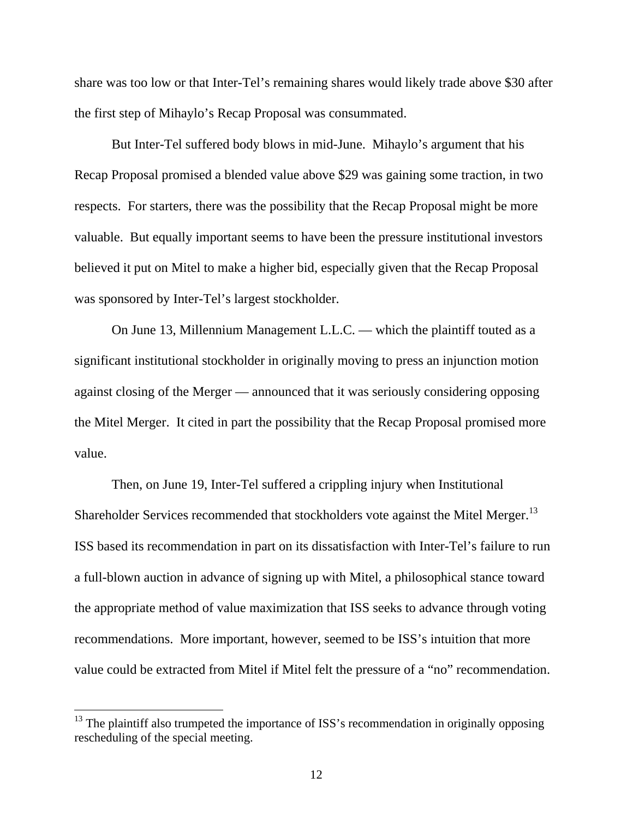share was too low or that Inter-Tel's remaining shares would likely trade above \$30 after the first step of Mihaylo's Recap Proposal was consummated.

But Inter-Tel suffered body blows in mid-June. Mihaylo's argument that his Recap Proposal promised a blended value above \$29 was gaining some traction, in two respects. For starters, there was the possibility that the Recap Proposal might be more valuable. But equally important seems to have been the pressure institutional investors believed it put on Mitel to make a higher bid, especially given that the Recap Proposal was sponsored by Inter-Tel's largest stockholder.

On June 13, Millennium Management L.L.C. — which the plaintiff touted as a significant institutional stockholder in originally moving to press an injunction motion against closing of the Merger — announced that it was seriously considering opposing the Mitel Merger. It cited in part the possibility that the Recap Proposal promised more value.

Then, on June 19, Inter-Tel suffered a crippling injury when Institutional Shareholder Services recommended that stockholders vote against the Mitel Merger.<sup>13</sup> ISS based its recommendation in part on its dissatisfaction with Inter-Tel's failure to run a full-blown auction in advance of signing up with Mitel, a philosophical stance toward the appropriate method of value maximization that ISS seeks to advance through voting recommendations. More important, however, seemed to be ISS's intuition that more value could be extracted from Mitel if Mitel felt the pressure of a "no" recommendation.

 $13$  The plaintiff also trumpeted the importance of ISS's recommendation in originally opposing rescheduling of the special meeting.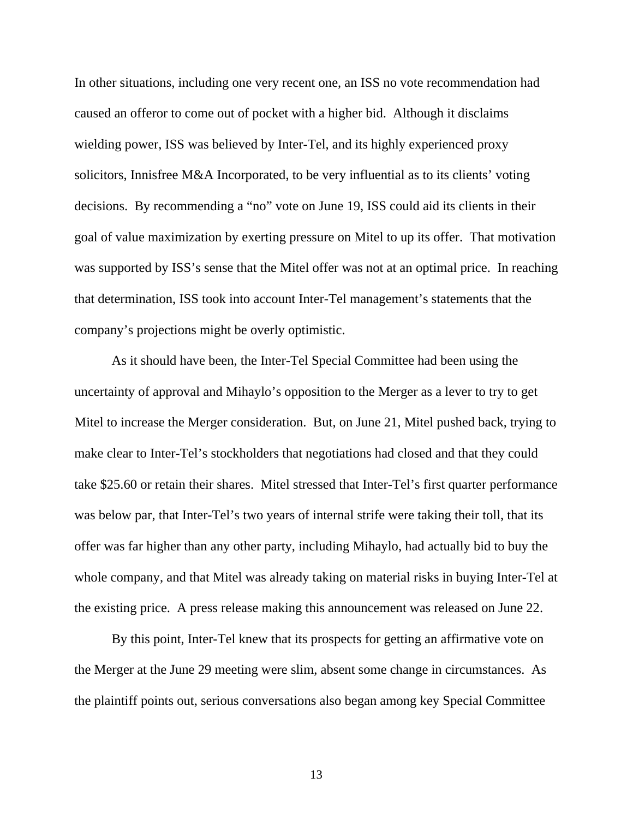In other situations, including one very recent one, an ISS no vote recommendation had caused an offeror to come out of pocket with a higher bid. Although it disclaims wielding power, ISS was believed by Inter-Tel, and its highly experienced proxy solicitors, Innisfree M&A Incorporated, to be very influential as to its clients' voting decisions. By recommending a "no" vote on June 19, ISS could aid its clients in their goal of value maximization by exerting pressure on Mitel to up its offer. That motivation was supported by ISS's sense that the Mitel offer was not at an optimal price. In reaching that determination, ISS took into account Inter-Tel management's statements that the company's projections might be overly optimistic.

 As it should have been, the Inter-Tel Special Committee had been using the uncertainty of approval and Mihaylo's opposition to the Merger as a lever to try to get Mitel to increase the Merger consideration. But, on June 21, Mitel pushed back, trying to make clear to Inter-Tel's stockholders that negotiations had closed and that they could take \$25.60 or retain their shares. Mitel stressed that Inter-Tel's first quarter performance was below par, that Inter-Tel's two years of internal strife were taking their toll, that its offer was far higher than any other party, including Mihaylo, had actually bid to buy the whole company, and that Mitel was already taking on material risks in buying Inter-Tel at the existing price. A press release making this announcement was released on June 22.

 By this point, Inter-Tel knew that its prospects for getting an affirmative vote on the Merger at the June 29 meeting were slim, absent some change in circumstances. As the plaintiff points out, serious conversations also began among key Special Committee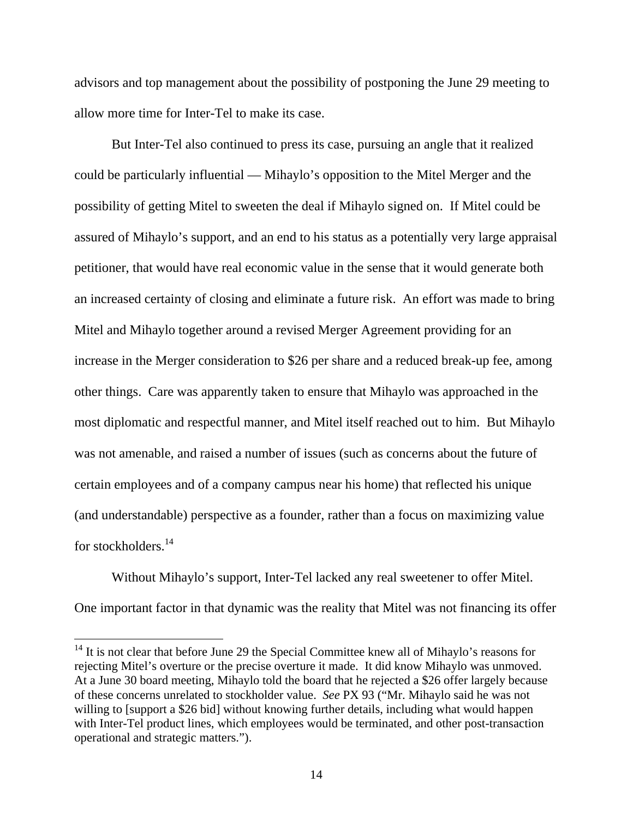advisors and top management about the possibility of postponing the June 29 meeting to allow more time for Inter-Tel to make its case.

 But Inter-Tel also continued to press its case, pursuing an angle that it realized could be particularly influential — Mihaylo's opposition to the Mitel Merger and the possibility of getting Mitel to sweeten the deal if Mihaylo signed on. If Mitel could be assured of Mihaylo's support, and an end to his status as a potentially very large appraisal petitioner, that would have real economic value in the sense that it would generate both an increased certainty of closing and eliminate a future risk. An effort was made to bring Mitel and Mihaylo together around a revised Merger Agreement providing for an increase in the Merger consideration to \$26 per share and a reduced break-up fee, among other things. Care was apparently taken to ensure that Mihaylo was approached in the most diplomatic and respectful manner, and Mitel itself reached out to him. But Mihaylo was not amenable, and raised a number of issues (such as concerns about the future of certain employees and of a company campus near his home) that reflected his unique (and understandable) perspective as a founder, rather than a focus on maximizing value for stockholders.14

 Without Mihaylo's support, Inter-Tel lacked any real sweetener to offer Mitel. One important factor in that dynamic was the reality that Mitel was not financing its offer

 $14$  It is not clear that before June 29 the Special Committee knew all of Mihaylo's reasons for rejecting Mitel's overture or the precise overture it made. It did know Mihaylo was unmoved. At a June 30 board meeting, Mihaylo told the board that he rejected a \$26 offer largely because of these concerns unrelated to stockholder value. *See* PX 93 ("Mr. Mihaylo said he was not willing to [support a \$26 bid] without knowing further details, including what would happen with Inter-Tel product lines, which employees would be terminated, and other post-transaction operational and strategic matters.").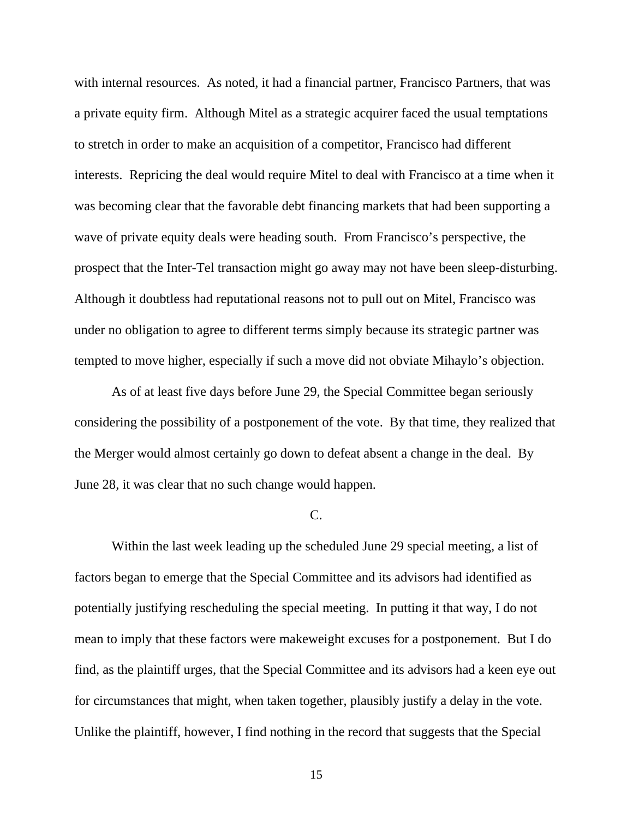with internal resources. As noted, it had a financial partner, Francisco Partners, that was a private equity firm. Although Mitel as a strategic acquirer faced the usual temptations to stretch in order to make an acquisition of a competitor, Francisco had different interests. Repricing the deal would require Mitel to deal with Francisco at a time when it was becoming clear that the favorable debt financing markets that had been supporting a wave of private equity deals were heading south. From Francisco's perspective, the prospect that the Inter-Tel transaction might go away may not have been sleep-disturbing. Although it doubtless had reputational reasons not to pull out on Mitel, Francisco was under no obligation to agree to different terms simply because its strategic partner was tempted to move higher, especially if such a move did not obviate Mihaylo's objection.

 As of at least five days before June 29, the Special Committee began seriously considering the possibility of a postponement of the vote. By that time, they realized that the Merger would almost certainly go down to defeat absent a change in the deal. By June 28, it was clear that no such change would happen.

#### $C_{\cdot}$

 Within the last week leading up the scheduled June 29 special meeting, a list of factors began to emerge that the Special Committee and its advisors had identified as potentially justifying rescheduling the special meeting. In putting it that way, I do not mean to imply that these factors were makeweight excuses for a postponement. But I do find, as the plaintiff urges, that the Special Committee and its advisors had a keen eye out for circumstances that might, when taken together, plausibly justify a delay in the vote. Unlike the plaintiff, however, I find nothing in the record that suggests that the Special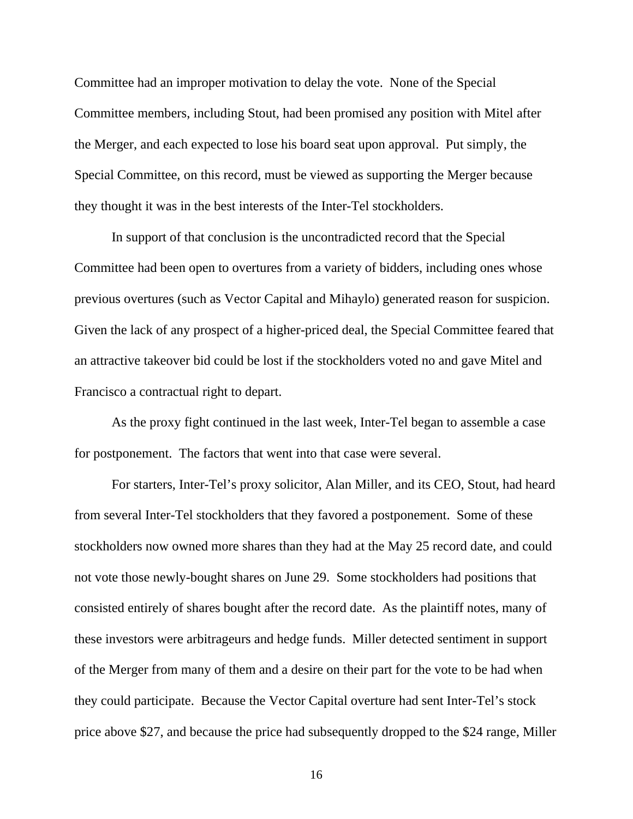Committee had an improper motivation to delay the vote. None of the Special Committee members, including Stout, had been promised any position with Mitel after the Merger, and each expected to lose his board seat upon approval. Put simply, the Special Committee, on this record, must be viewed as supporting the Merger because they thought it was in the best interests of the Inter-Tel stockholders.

In support of that conclusion is the uncontradicted record that the Special Committee had been open to overtures from a variety of bidders, including ones whose previous overtures (such as Vector Capital and Mihaylo) generated reason for suspicion. Given the lack of any prospect of a higher-priced deal, the Special Committee feared that an attractive takeover bid could be lost if the stockholders voted no and gave Mitel and Francisco a contractual right to depart.

 As the proxy fight continued in the last week, Inter-Tel began to assemble a case for postponement. The factors that went into that case were several.

 For starters, Inter-Tel's proxy solicitor, Alan Miller, and its CEO, Stout, had heard from several Inter-Tel stockholders that they favored a postponement. Some of these stockholders now owned more shares than they had at the May 25 record date, and could not vote those newly-bought shares on June 29. Some stockholders had positions that consisted entirely of shares bought after the record date. As the plaintiff notes, many of these investors were arbitrageurs and hedge funds. Miller detected sentiment in support of the Merger from many of them and a desire on their part for the vote to be had when they could participate. Because the Vector Capital overture had sent Inter-Tel's stock price above \$27, and because the price had subsequently dropped to the \$24 range, Miller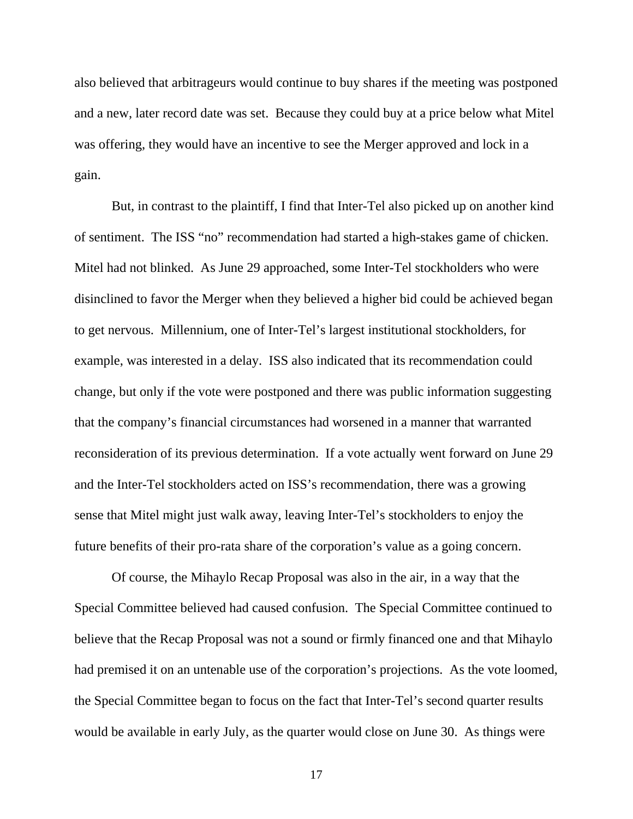also believed that arbitrageurs would continue to buy shares if the meeting was postponed and a new, later record date was set. Because they could buy at a price below what Mitel was offering, they would have an incentive to see the Merger approved and lock in a gain.

 But, in contrast to the plaintiff, I find that Inter-Tel also picked up on another kind of sentiment. The ISS "no" recommendation had started a high-stakes game of chicken. Mitel had not blinked. As June 29 approached, some Inter-Tel stockholders who were disinclined to favor the Merger when they believed a higher bid could be achieved began to get nervous. Millennium, one of Inter-Tel's largest institutional stockholders, for example, was interested in a delay. ISS also indicated that its recommendation could change, but only if the vote were postponed and there was public information suggesting that the company's financial circumstances had worsened in a manner that warranted reconsideration of its previous determination. If a vote actually went forward on June 29 and the Inter-Tel stockholders acted on ISS's recommendation, there was a growing sense that Mitel might just walk away, leaving Inter-Tel's stockholders to enjoy the future benefits of their pro-rata share of the corporation's value as a going concern.

 Of course, the Mihaylo Recap Proposal was also in the air, in a way that the Special Committee believed had caused confusion. The Special Committee continued to believe that the Recap Proposal was not a sound or firmly financed one and that Mihaylo had premised it on an untenable use of the corporation's projections. As the vote loomed, the Special Committee began to focus on the fact that Inter-Tel's second quarter results would be available in early July, as the quarter would close on June 30. As things were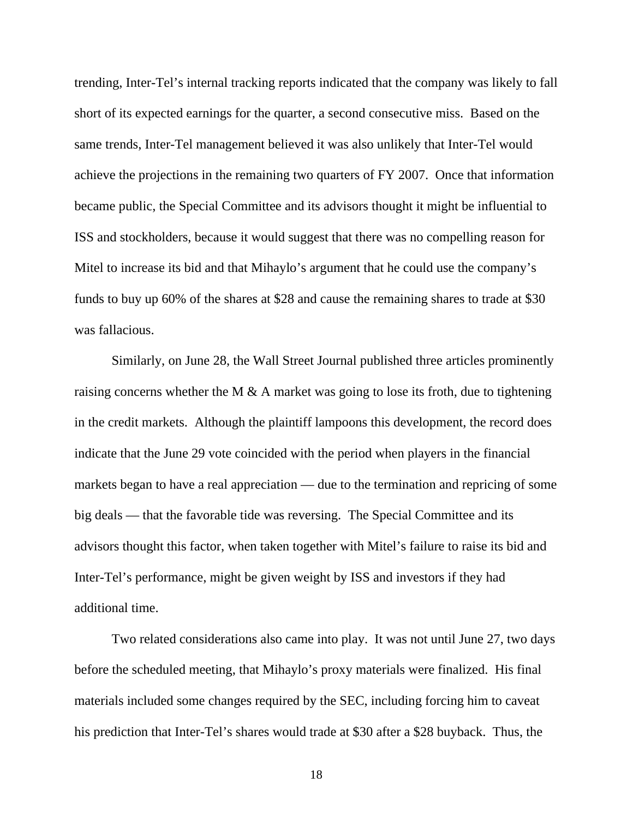trending, Inter-Tel's internal tracking reports indicated that the company was likely to fall short of its expected earnings for the quarter, a second consecutive miss. Based on the same trends, Inter-Tel management believed it was also unlikely that Inter-Tel would achieve the projections in the remaining two quarters of FY 2007. Once that information became public, the Special Committee and its advisors thought it might be influential to ISS and stockholders, because it would suggest that there was no compelling reason for Mitel to increase its bid and that Mihaylo's argument that he could use the company's funds to buy up 60% of the shares at \$28 and cause the remaining shares to trade at \$30 was fallacious.

 Similarly, on June 28, the Wall Street Journal published three articles prominently raising concerns whether the M  $\&$  A market was going to lose its froth, due to tightening in the credit markets. Although the plaintiff lampoons this development, the record does indicate that the June 29 vote coincided with the period when players in the financial markets began to have a real appreciation — due to the termination and repricing of some big deals — that the favorable tide was reversing. The Special Committee and its advisors thought this factor, when taken together with Mitel's failure to raise its bid and Inter-Tel's performance, might be given weight by ISS and investors if they had additional time.

 Two related considerations also came into play. It was not until June 27, two days before the scheduled meeting, that Mihaylo's proxy materials were finalized. His final materials included some changes required by the SEC, including forcing him to caveat his prediction that Inter-Tel's shares would trade at \$30 after a \$28 buyback. Thus, the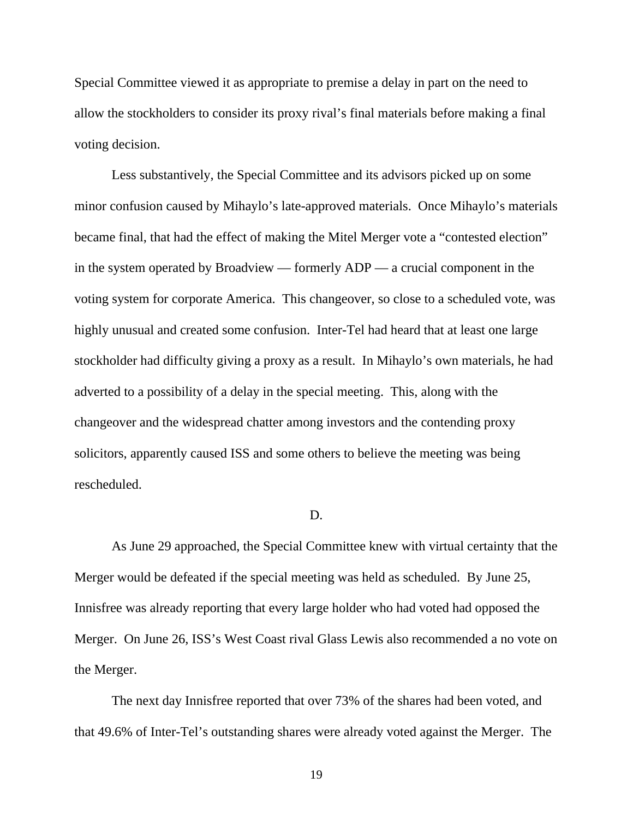Special Committee viewed it as appropriate to premise a delay in part on the need to allow the stockholders to consider its proxy rival's final materials before making a final voting decision.

 Less substantively, the Special Committee and its advisors picked up on some minor confusion caused by Mihaylo's late-approved materials. Once Mihaylo's materials became final, that had the effect of making the Mitel Merger vote a "contested election" in the system operated by Broadview — formerly ADP — a crucial component in the voting system for corporate America. This changeover, so close to a scheduled vote, was highly unusual and created some confusion. Inter-Tel had heard that at least one large stockholder had difficulty giving a proxy as a result. In Mihaylo's own materials, he had adverted to a possibility of a delay in the special meeting. This, along with the changeover and the widespread chatter among investors and the contending proxy solicitors, apparently caused ISS and some others to believe the meeting was being rescheduled.

#### D.

 As June 29 approached, the Special Committee knew with virtual certainty that the Merger would be defeated if the special meeting was held as scheduled. By June 25, Innisfree was already reporting that every large holder who had voted had opposed the Merger. On June 26, ISS's West Coast rival Glass Lewis also recommended a no vote on the Merger.

 The next day Innisfree reported that over 73% of the shares had been voted, and that 49.6% of Inter-Tel's outstanding shares were already voted against the Merger. The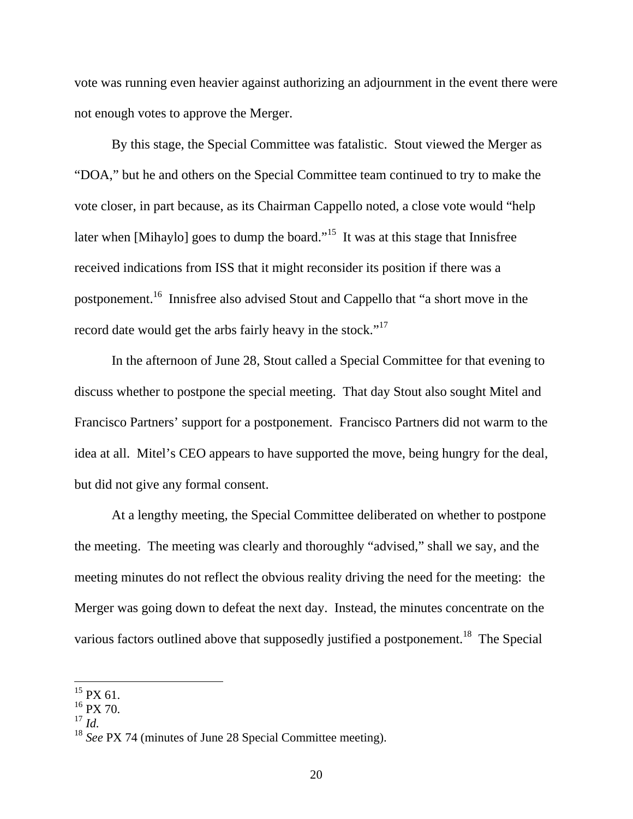vote was running even heavier against authorizing an adjournment in the event there were not enough votes to approve the Merger.

 By this stage, the Special Committee was fatalistic. Stout viewed the Merger as "DOA," but he and others on the Special Committee team continued to try to make the vote closer, in part because, as its Chairman Cappello noted, a close vote would "help later when [Mihaylo] goes to dump the board."<sup>15</sup> It was at this stage that Innisfree received indications from ISS that it might reconsider its position if there was a postponement.16 Innisfree also advised Stout and Cappello that "a short move in the record date would get the arbs fairly heavy in the stock."<sup>17</sup>

 In the afternoon of June 28, Stout called a Special Committee for that evening to discuss whether to postpone the special meeting. That day Stout also sought Mitel and Francisco Partners' support for a postponement. Francisco Partners did not warm to the idea at all. Mitel's CEO appears to have supported the move, being hungry for the deal, but did not give any formal consent.

 At a lengthy meeting, the Special Committee deliberated on whether to postpone the meeting. The meeting was clearly and thoroughly "advised," shall we say, and the meeting minutes do not reflect the obvious reality driving the need for the meeting: the Merger was going down to defeat the next day. Instead, the minutes concentrate on the various factors outlined above that supposedly justified a postponement.<sup>18</sup> The Special

 $15$  PX 61.

 $16$  PX 70.

 $^{17}$  *Id.* 

<sup>18</sup> *See* PX 74 (minutes of June 28 Special Committee meeting).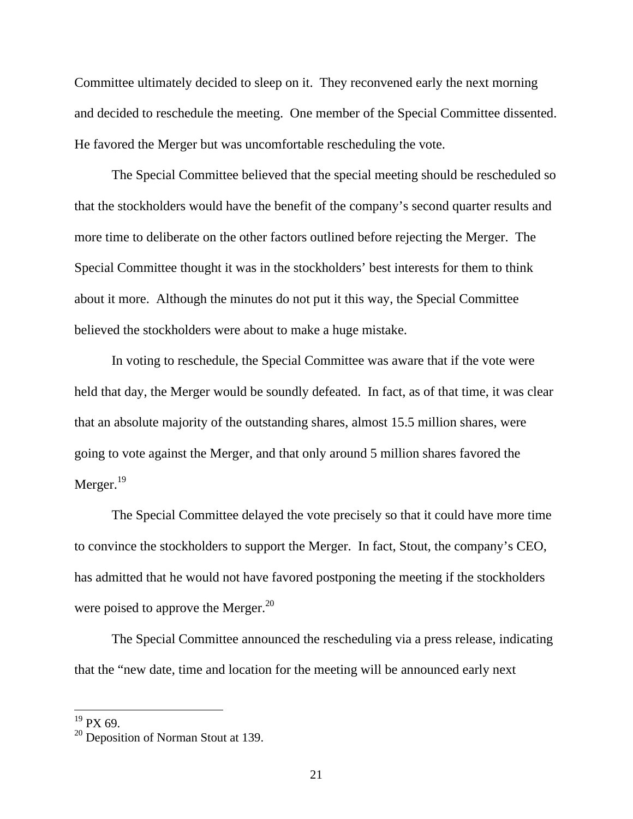Committee ultimately decided to sleep on it. They reconvened early the next morning and decided to reschedule the meeting. One member of the Special Committee dissented. He favored the Merger but was uncomfortable rescheduling the vote.

 The Special Committee believed that the special meeting should be rescheduled so that the stockholders would have the benefit of the company's second quarter results and more time to deliberate on the other factors outlined before rejecting the Merger. The Special Committee thought it was in the stockholders' best interests for them to think about it more. Although the minutes do not put it this way, the Special Committee believed the stockholders were about to make a huge mistake.

 In voting to reschedule, the Special Committee was aware that if the vote were held that day, the Merger would be soundly defeated. In fact, as of that time, it was clear that an absolute majority of the outstanding shares, almost 15.5 million shares, were going to vote against the Merger, and that only around 5 million shares favored the Merger.<sup>19</sup>

 The Special Committee delayed the vote precisely so that it could have more time to convince the stockholders to support the Merger. In fact, Stout, the company's CEO, has admitted that he would not have favored postponing the meeting if the stockholders were poised to approve the Merger.<sup>20</sup>

 The Special Committee announced the rescheduling via a press release, indicating that the "new date, time and location for the meeting will be announced early next

 $19$  PX 69.

<sup>&</sup>lt;sup>20</sup> Deposition of Norman Stout at 139.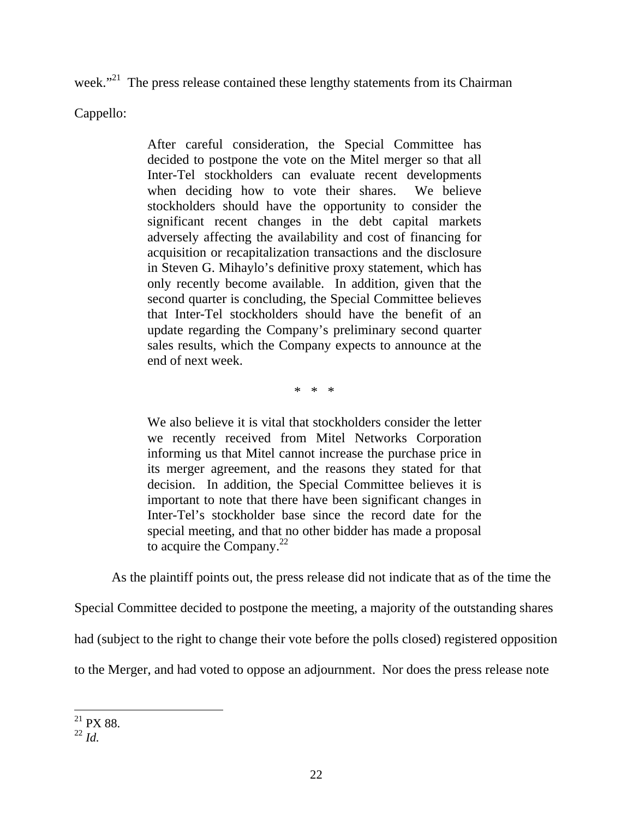week."<sup>21</sup> The press release contained these lengthy statements from its Chairman

Cappello:

After careful consideration, the Special Committee has decided to postpone the vote on the Mitel merger so that all Inter-Tel stockholders can evaluate recent developments when deciding how to vote their shares. We believe stockholders should have the opportunity to consider the significant recent changes in the debt capital markets adversely affecting the availability and cost of financing for acquisition or recapitalization transactions and the disclosure in Steven G. Mihaylo's definitive proxy statement, which has only recently become available. In addition, given that the second quarter is concluding, the Special Committee believes that Inter-Tel stockholders should have the benefit of an update regarding the Company's preliminary second quarter sales results, which the Company expects to announce at the end of next week.

\* \* \*

We also believe it is vital that stockholders consider the letter we recently received from Mitel Networks Corporation informing us that Mitel cannot increase the purchase price in its merger agreement, and the reasons they stated for that decision. In addition, the Special Committee believes it is important to note that there have been significant changes in Inter-Tel's stockholder base since the record date for the special meeting, and that no other bidder has made a proposal to acquire the Company. $2^2$ 

As the plaintiff points out, the press release did not indicate that as of the time the

Special Committee decided to postpone the meeting, a majority of the outstanding shares

had (subject to the right to change their vote before the polls closed) registered opposition

to the Merger, and had voted to oppose an adjournment. Nor does the press release note

 $\overline{a}$  $^{21}$  PX 88.

<sup>22</sup> *Id.*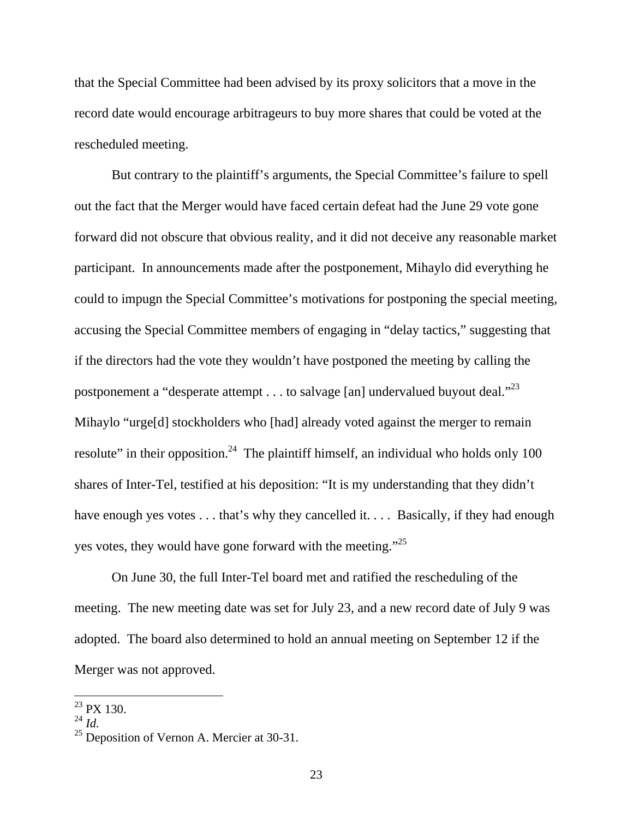that the Special Committee had been advised by its proxy solicitors that a move in the record date would encourage arbitrageurs to buy more shares that could be voted at the rescheduled meeting.

 But contrary to the plaintiff's arguments, the Special Committee's failure to spell out the fact that the Merger would have faced certain defeat had the June 29 vote gone forward did not obscure that obvious reality, and it did not deceive any reasonable market participant. In announcements made after the postponement, Mihaylo did everything he could to impugn the Special Committee's motivations for postponing the special meeting, accusing the Special Committee members of engaging in "delay tactics," suggesting that if the directors had the vote they wouldn't have postponed the meeting by calling the postponement a "desperate attempt  $\dots$  to salvage [an] undervalued buyout deal."<sup>23</sup> Mihaylo "urge<sup>[d]</sup> stockholders who [had] already voted against the merger to remain resolute" in their opposition.<sup>24</sup> The plaintiff himself, an individual who holds only 100 shares of Inter-Tel, testified at his deposition: "It is my understanding that they didn't have enough yes votes . . . that's why they cancelled it. . . . Basically, if they had enough yes votes, they would have gone forward with the meeting."<sup>25</sup>

 On June 30, the full Inter-Tel board met and ratified the rescheduling of the meeting. The new meeting date was set for July 23, and a new record date of July 9 was adopted. The board also determined to hold an annual meeting on September 12 if the Merger was not approved.

 $^{23}$  PX 130.

<sup>24</sup> *Id.*

 $25$  Deposition of Vernon A. Mercier at 30-31.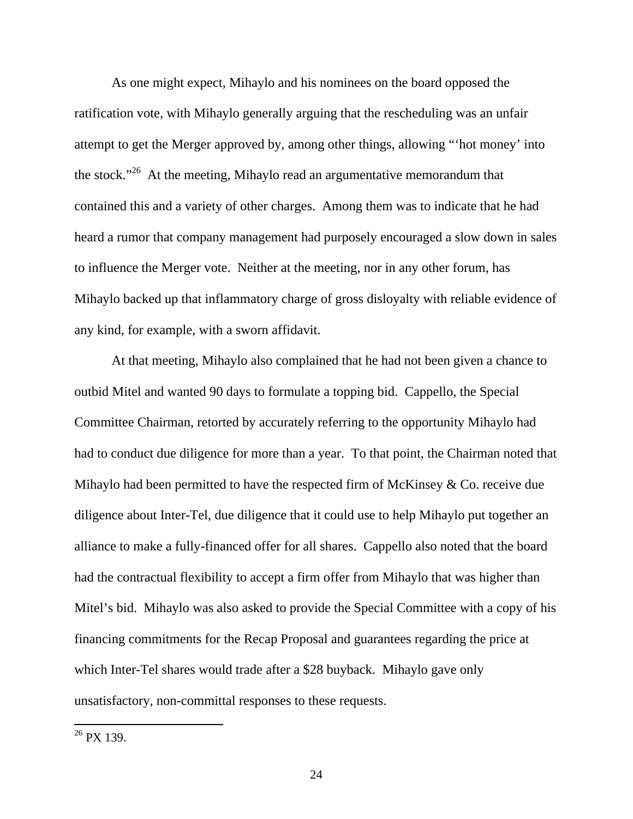As one might expect, Mihaylo and his nominees on the board opposed the ratification vote, with Mihaylo generally arguing that the rescheduling was an unfair attempt to get the Merger approved by, among other things, allowing "'hot money' into the stock."<sup>26</sup> At the meeting, Mihaylo read an argumentative memorandum that contained this and a variety of other charges. Among them was to indicate that he had heard a rumor that company management had purposely encouraged a slow down in sales to influence the Merger vote. Neither at the meeting, nor in any other forum, has Mihaylo backed up that inflammatory charge of gross disloyalty with reliable evidence of any kind, for example, with a sworn affidavit.

At that meeting, Mihaylo also complained that he had not been given a chance to outbid Mitel and wanted 90 days to formulate a topping bid. Cappello, the Special Committee Chairman, retorted by accurately referring to the opportunity Mihaylo had had to conduct due diligence for more than a year. To that point, the Chairman noted that Mihaylo had been permitted to have the respected firm of McKinsey  $\&$  Co. receive due diligence about Inter-Tel, due diligence that it could use to help Mihaylo put together an alliance to make a fully-financed offer for all shares. Cappello also noted that the board had the contractual flexibility to accept a firm offer from Mihaylo that was higher than Mitel's bid. Mihaylo was also asked to provide the Special Committee with a copy of his financing commitments for the Recap Proposal and guarantees regarding the price at which Inter-Tel shares would trade after a \$28 buyback. Mihaylo gave only unsatisfactory, non-committal responses to these requests.

 $26$  PX 139.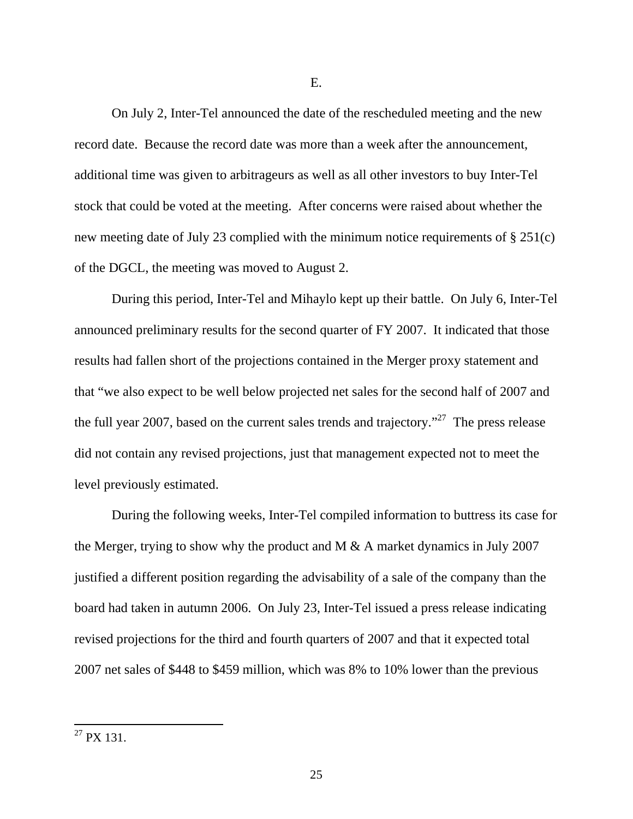On July 2, Inter-Tel announced the date of the rescheduled meeting and the new record date. Because the record date was more than a week after the announcement, additional time was given to arbitrageurs as well as all other investors to buy Inter-Tel stock that could be voted at the meeting. After concerns were raised about whether the new meeting date of July 23 complied with the minimum notice requirements of § 251(c) of the DGCL, the meeting was moved to August 2.

 During this period, Inter-Tel and Mihaylo kept up their battle. On July 6, Inter-Tel announced preliminary results for the second quarter of FY 2007. It indicated that those results had fallen short of the projections contained in the Merger proxy statement and that "we also expect to be well below projected net sales for the second half of 2007 and the full year 2007, based on the current sales trends and trajectory."<sup>27</sup> The press release did not contain any revised projections, just that management expected not to meet the level previously estimated.

During the following weeks, Inter-Tel compiled information to buttress its case for the Merger, trying to show why the product and M & A market dynamics in July 2007 justified a different position regarding the advisability of a sale of the company than the board had taken in autumn 2006. On July 23, Inter-Tel issued a press release indicating revised projections for the third and fourth quarters of 2007 and that it expected total 2007 net sales of \$448 to \$459 million, which was 8% to 10% lower than the previous

 $^{27}$  PX 131.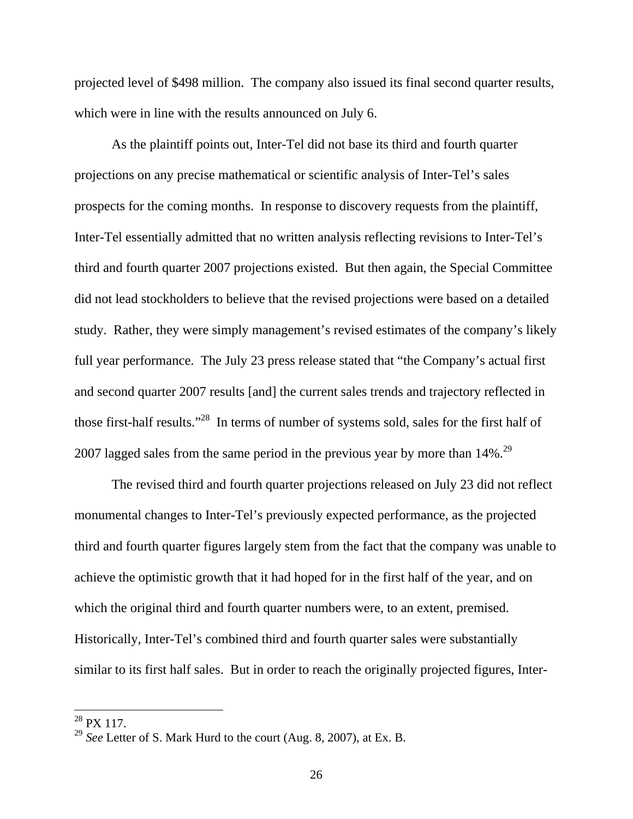projected level of \$498 million. The company also issued its final second quarter results, which were in line with the results announced on July 6.

 As the plaintiff points out, Inter-Tel did not base its third and fourth quarter projections on any precise mathematical or scientific analysis of Inter-Tel's sales prospects for the coming months. In response to discovery requests from the plaintiff, Inter-Tel essentially admitted that no written analysis reflecting revisions to Inter-Tel's third and fourth quarter 2007 projections existed. But then again, the Special Committee did not lead stockholders to believe that the revised projections were based on a detailed study. Rather, they were simply management's revised estimates of the company's likely full year performance. The July 23 press release stated that "the Company's actual first and second quarter 2007 results [and] the current sales trends and trajectory reflected in those first-half results."28 In terms of number of systems sold, sales for the first half of 2007 lagged sales from the same period in the previous year by more than 14%.<sup>29</sup>

The revised third and fourth quarter projections released on July 23 did not reflect monumental changes to Inter-Tel's previously expected performance, as the projected third and fourth quarter figures largely stem from the fact that the company was unable to achieve the optimistic growth that it had hoped for in the first half of the year, and on which the original third and fourth quarter numbers were, to an extent, premised. Historically, Inter-Tel's combined third and fourth quarter sales were substantially similar to its first half sales. But in order to reach the originally projected figures, Inter-

 $^{28}$  PX 117.

<sup>29</sup> *See* Letter of S. Mark Hurd to the court (Aug. 8, 2007), at Ex. B.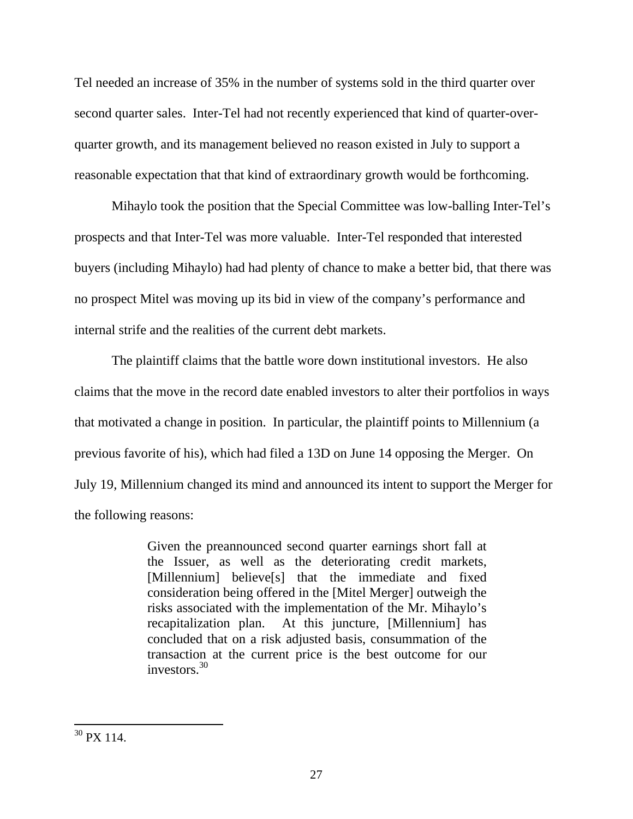Tel needed an increase of 35% in the number of systems sold in the third quarter over second quarter sales. Inter-Tel had not recently experienced that kind of quarter-overquarter growth, and its management believed no reason existed in July to support a reasonable expectation that that kind of extraordinary growth would be forthcoming.

 Mihaylo took the position that the Special Committee was low-balling Inter-Tel's prospects and that Inter-Tel was more valuable. Inter-Tel responded that interested buyers (including Mihaylo) had had plenty of chance to make a better bid, that there was no prospect Mitel was moving up its bid in view of the company's performance and internal strife and the realities of the current debt markets.

 The plaintiff claims that the battle wore down institutional investors. He also claims that the move in the record date enabled investors to alter their portfolios in ways that motivated a change in position. In particular, the plaintiff points to Millennium (a previous favorite of his), which had filed a 13D on June 14 opposing the Merger. On July 19, Millennium changed its mind and announced its intent to support the Merger for the following reasons:

> Given the preannounced second quarter earnings short fall at the Issuer, as well as the deteriorating credit markets, [Millennium] believe[s] that the immediate and fixed consideration being offered in the [Mitel Merger] outweigh the risks associated with the implementation of the Mr. Mihaylo's recapitalization plan. At this juncture, [Millennium] has concluded that on a risk adjusted basis, consummation of the transaction at the current price is the best outcome for our investors  $30<sup>30</sup>$

 $\overline{a}$  $30$  PX 114.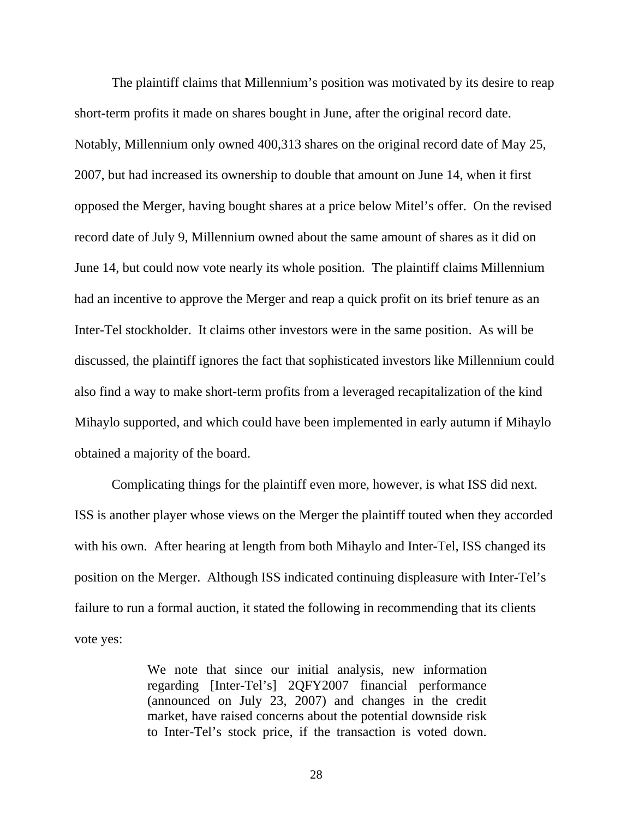The plaintiff claims that Millennium's position was motivated by its desire to reap short-term profits it made on shares bought in June, after the original record date. Notably, Millennium only owned 400,313 shares on the original record date of May 25, 2007, but had increased its ownership to double that amount on June 14, when it first opposed the Merger, having bought shares at a price below Mitel's offer. On the revised record date of July 9, Millennium owned about the same amount of shares as it did on June 14, but could now vote nearly its whole position. The plaintiff claims Millennium had an incentive to approve the Merger and reap a quick profit on its brief tenure as an Inter-Tel stockholder. It claims other investors were in the same position. As will be discussed, the plaintiff ignores the fact that sophisticated investors like Millennium could also find a way to make short-term profits from a leveraged recapitalization of the kind Mihaylo supported, and which could have been implemented in early autumn if Mihaylo obtained a majority of the board.

 Complicating things for the plaintiff even more, however, is what ISS did next. ISS is another player whose views on the Merger the plaintiff touted when they accorded with his own. After hearing at length from both Mihaylo and Inter-Tel, ISS changed its position on the Merger. Although ISS indicated continuing displeasure with Inter-Tel's failure to run a formal auction, it stated the following in recommending that its clients vote yes:

> We note that since our initial analysis, new information regarding [Inter-Tel's] 2QFY2007 financial performance (announced on July 23, 2007) and changes in the credit market, have raised concerns about the potential downside risk to Inter-Tel's stock price, if the transaction is voted down.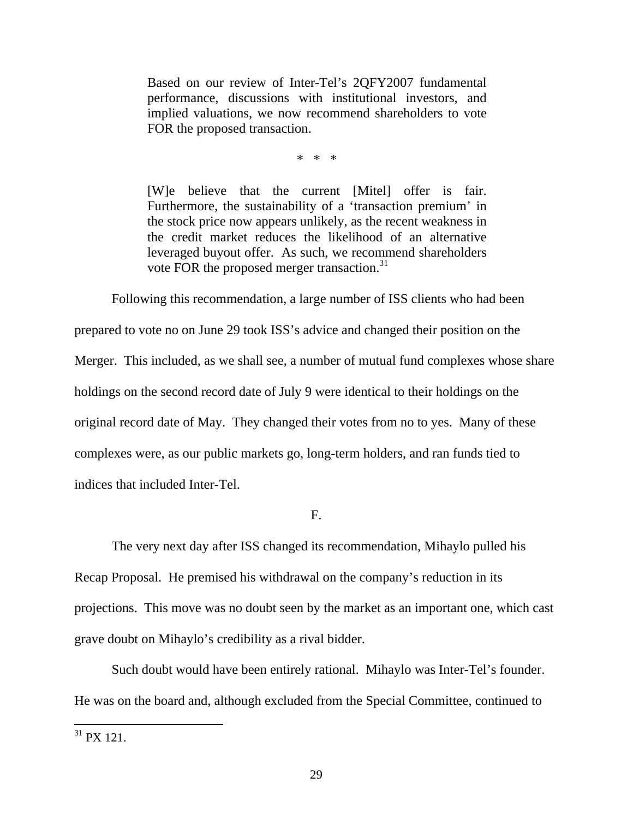Based on our review of Inter-Tel's 2QFY2007 fundamental performance, discussions with institutional investors, and implied valuations, we now recommend shareholders to vote FOR the proposed transaction.

\* \* \*

[W]e believe that the current [Mitel] offer is fair. Furthermore, the sustainability of a 'transaction premium' in the stock price now appears unlikely, as the recent weakness in the credit market reduces the likelihood of an alternative leveraged buyout offer. As such, we recommend shareholders vote FOR the proposed merger transaction.<sup>31</sup>

 Following this recommendation, a large number of ISS clients who had been prepared to vote no on June 29 took ISS's advice and changed their position on the Merger. This included, as we shall see, a number of mutual fund complexes whose share holdings on the second record date of July 9 were identical to their holdings on the original record date of May. They changed their votes from no to yes. Many of these complexes were, as our public markets go, long-term holders, and ran funds tied to indices that included Inter-Tel.

F.

 The very next day after ISS changed its recommendation, Mihaylo pulled his Recap Proposal. He premised his withdrawal on the company's reduction in its projections. This move was no doubt seen by the market as an important one, which cast grave doubt on Mihaylo's credibility as a rival bidder.

Such doubt would have been entirely rational. Mihaylo was Inter-Tel's founder. He was on the board and, although excluded from the Special Committee, continued to

 $31$  PX 121.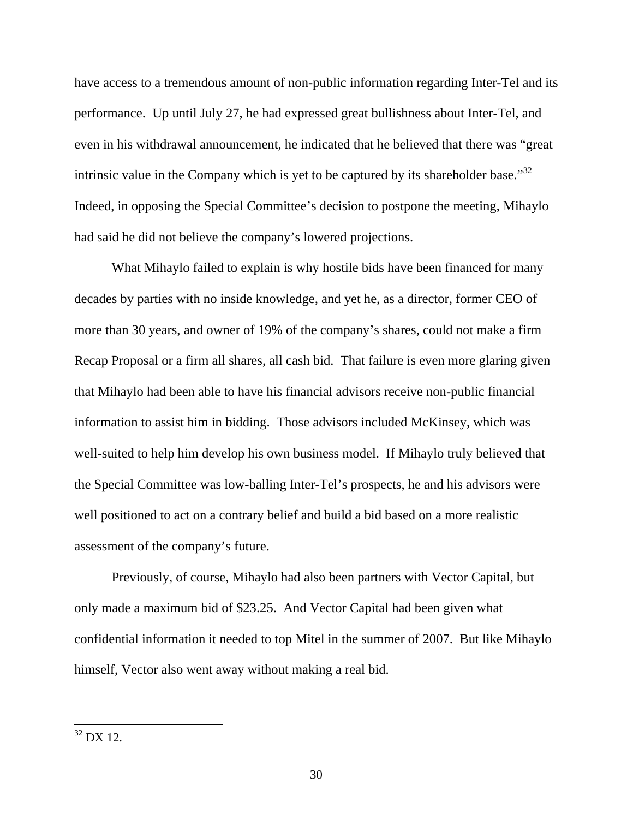have access to a tremendous amount of non-public information regarding Inter-Tel and its performance. Up until July 27, he had expressed great bullishness about Inter-Tel, and even in his withdrawal announcement, he indicated that he believed that there was "great intrinsic value in the Company which is yet to be captured by its shareholder base."<sup>32</sup> Indeed, in opposing the Special Committee's decision to postpone the meeting, Mihaylo had said he did not believe the company's lowered projections.

 What Mihaylo failed to explain is why hostile bids have been financed for many decades by parties with no inside knowledge, and yet he, as a director, former CEO of more than 30 years, and owner of 19% of the company's shares, could not make a firm Recap Proposal or a firm all shares, all cash bid. That failure is even more glaring given that Mihaylo had been able to have his financial advisors receive non-public financial information to assist him in bidding. Those advisors included McKinsey, which was well-suited to help him develop his own business model. If Mihaylo truly believed that the Special Committee was low-balling Inter-Tel's prospects, he and his advisors were well positioned to act on a contrary belief and build a bid based on a more realistic assessment of the company's future.

 Previously, of course, Mihaylo had also been partners with Vector Capital, but only made a maximum bid of \$23.25. And Vector Capital had been given what confidential information it needed to top Mitel in the summer of 2007. But like Mihaylo himself, Vector also went away without making a real bid.

 $32$  DX 12.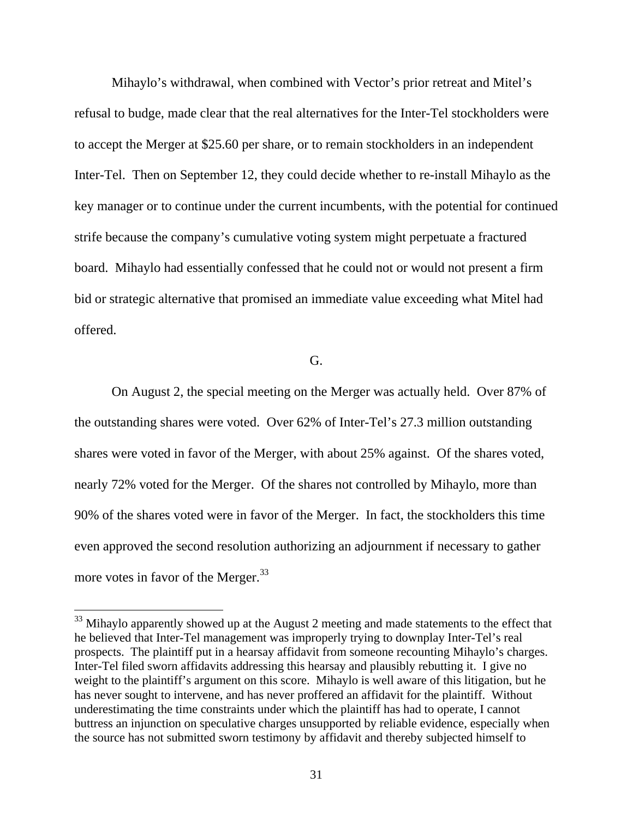Mihaylo's withdrawal, when combined with Vector's prior retreat and Mitel's refusal to budge, made clear that the real alternatives for the Inter-Tel stockholders were to accept the Merger at \$25.60 per share, or to remain stockholders in an independent Inter-Tel. Then on September 12, they could decide whether to re-install Mihaylo as the key manager or to continue under the current incumbents, with the potential for continued strife because the company's cumulative voting system might perpetuate a fractured board. Mihaylo had essentially confessed that he could not or would not present a firm bid or strategic alternative that promised an immediate value exceeding what Mitel had offered.

## G.

 On August 2, the special meeting on the Merger was actually held. Over 87% of the outstanding shares were voted. Over 62% of Inter-Tel's 27.3 million outstanding shares were voted in favor of the Merger, with about 25% against. Of the shares voted, nearly 72% voted for the Merger. Of the shares not controlled by Mihaylo, more than 90% of the shares voted were in favor of the Merger. In fact, the stockholders this time even approved the second resolution authorizing an adjournment if necessary to gather more votes in favor of the Merger.<sup>33</sup>

 $33$  Mihaylo apparently showed up at the August 2 meeting and made statements to the effect that he believed that Inter-Tel management was improperly trying to downplay Inter-Tel's real prospects. The plaintiff put in a hearsay affidavit from someone recounting Mihaylo's charges. Inter-Tel filed sworn affidavits addressing this hearsay and plausibly rebutting it. I give no weight to the plaintiff's argument on this score. Mihaylo is well aware of this litigation, but he has never sought to intervene, and has never proffered an affidavit for the plaintiff. Without underestimating the time constraints under which the plaintiff has had to operate, I cannot buttress an injunction on speculative charges unsupported by reliable evidence, especially when the source has not submitted sworn testimony by affidavit and thereby subjected himself to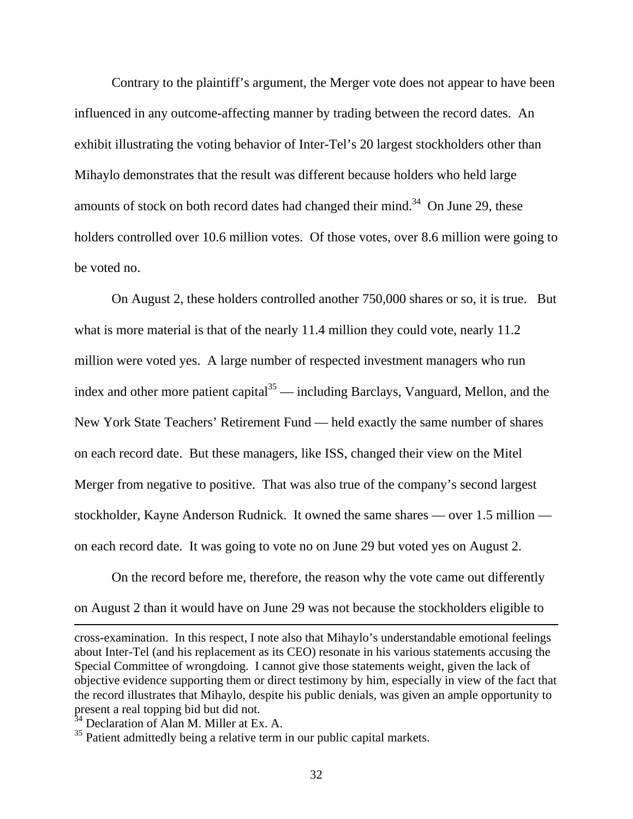Contrary to the plaintiff's argument, the Merger vote does not appear to have been influenced in any outcome-affecting manner by trading between the record dates. An exhibit illustrating the voting behavior of Inter-Tel's 20 largest stockholders other than Mihaylo demonstrates that the result was different because holders who held large amounts of stock on both record dates had changed their mind.<sup>34</sup> On June 29, these holders controlled over 10.6 million votes. Of those votes, over 8.6 million were going to be voted no.

On August 2, these holders controlled another 750,000 shares or so, it is true. But what is more material is that of the nearly 11.4 million they could vote, nearly 11.2 million were voted yes. A large number of respected investment managers who run index and other more patient capital<sup>35</sup> — including Barclays, Vanguard, Mellon, and the New York State Teachers' Retirement Fund — held exactly the same number of shares on each record date. But these managers, like ISS, changed their view on the Mitel Merger from negative to positive. That was also true of the company's second largest stockholder, Kayne Anderson Rudnick. It owned the same shares — over 1.5 million on each record date. It was going to vote no on June 29 but voted yes on August 2.

 On the record before me, therefore, the reason why the vote came out differently on August 2 than it would have on June 29 was not because the stockholders eligible to

cross-examination. In this respect, I note also that Mihaylo's understandable emotional feelings about Inter-Tel (and his replacement as its CEO) resonate in his various statements accusing the Special Committee of wrongdoing. I cannot give those statements weight, given the lack of objective evidence supporting them or direct testimony by him, especially in view of the fact that the record illustrates that Mihaylo, despite his public denials, was given an ample opportunity to present a real topping bid but did not.

<sup>&</sup>lt;sup>34</sup> Declaration of Alan M. Miller at Ex. A.

 $35$  Patient admittedly being a relative term in our public capital markets.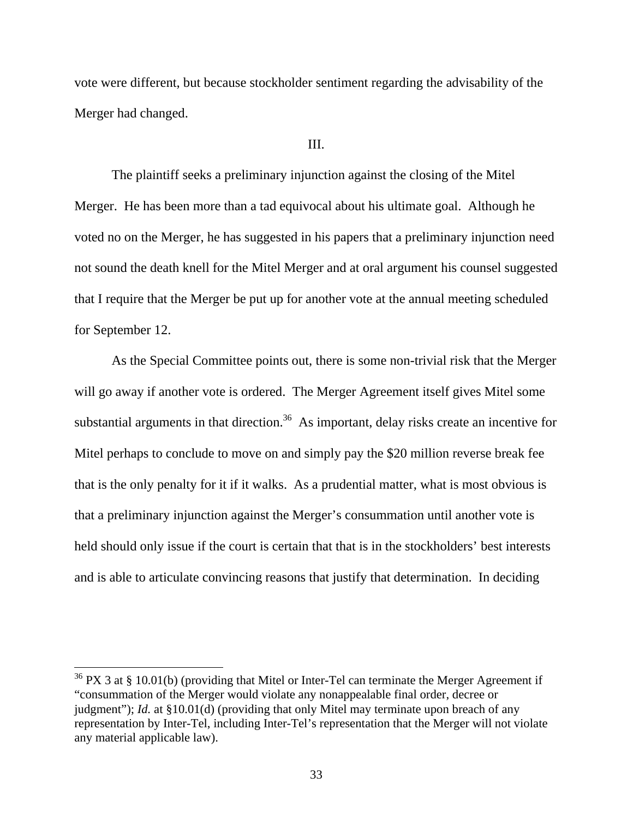vote were different, but because stockholder sentiment regarding the advisability of the Merger had changed.

#### III.

The plaintiff seeks a preliminary injunction against the closing of the Mitel Merger. He has been more than a tad equivocal about his ultimate goal. Although he voted no on the Merger, he has suggested in his papers that a preliminary injunction need not sound the death knell for the Mitel Merger and at oral argument his counsel suggested that I require that the Merger be put up for another vote at the annual meeting scheduled for September 12.

 As the Special Committee points out, there is some non-trivial risk that the Merger will go away if another vote is ordered. The Merger Agreement itself gives Mitel some substantial arguments in that direction.<sup>36</sup> As important, delay risks create an incentive for Mitel perhaps to conclude to move on and simply pay the \$20 million reverse break fee that is the only penalty for it if it walks. As a prudential matter, what is most obvious is that a preliminary injunction against the Merger's consummation until another vote is held should only issue if the court is certain that that is in the stockholders' best interests and is able to articulate convincing reasons that justify that determination. In deciding

 $36$  PX 3 at § 10.01(b) (providing that Mitel or Inter-Tel can terminate the Merger Agreement if "consummation of the Merger would violate any nonappealable final order, decree or judgment"); *Id.* at §10.01(d) (providing that only Mitel may terminate upon breach of any representation by Inter-Tel, including Inter-Tel's representation that the Merger will not violate any material applicable law).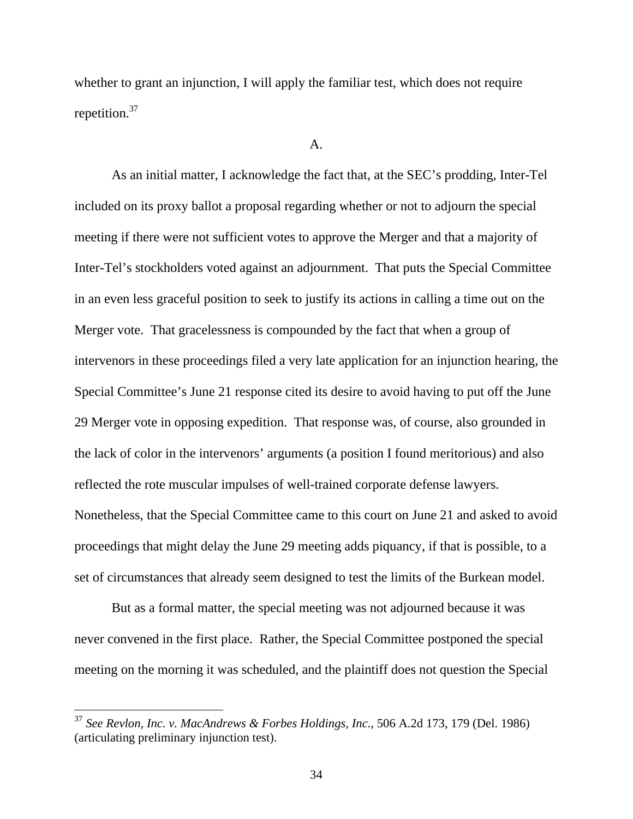whether to grant an injunction, I will apply the familiar test, which does not require repetition.37

#### A.

 As an initial matter, I acknowledge the fact that, at the SEC's prodding, Inter-Tel included on its proxy ballot a proposal regarding whether or not to adjourn the special meeting if there were not sufficient votes to approve the Merger and that a majority of Inter-Tel's stockholders voted against an adjournment. That puts the Special Committee in an even less graceful position to seek to justify its actions in calling a time out on the Merger vote. That gracelessness is compounded by the fact that when a group of intervenors in these proceedings filed a very late application for an injunction hearing, the Special Committee's June 21 response cited its desire to avoid having to put off the June 29 Merger vote in opposing expedition. That response was, of course, also grounded in the lack of color in the intervenors' arguments (a position I found meritorious) and also reflected the rote muscular impulses of well-trained corporate defense lawyers. Nonetheless, that the Special Committee came to this court on June 21 and asked to avoid proceedings that might delay the June 29 meeting adds piquancy, if that is possible, to a set of circumstances that already seem designed to test the limits of the Burkean model.

But as a formal matter, the special meeting was not adjourned because it was never convened in the first place. Rather, the Special Committee postponed the special meeting on the morning it was scheduled, and the plaintiff does not question the Special

<sup>37</sup> *See Revlon, Inc. v. MacAndrews & Forbes Holdings, Inc.*, 506 A.2d 173, 179 (Del. 1986) (articulating preliminary injunction test).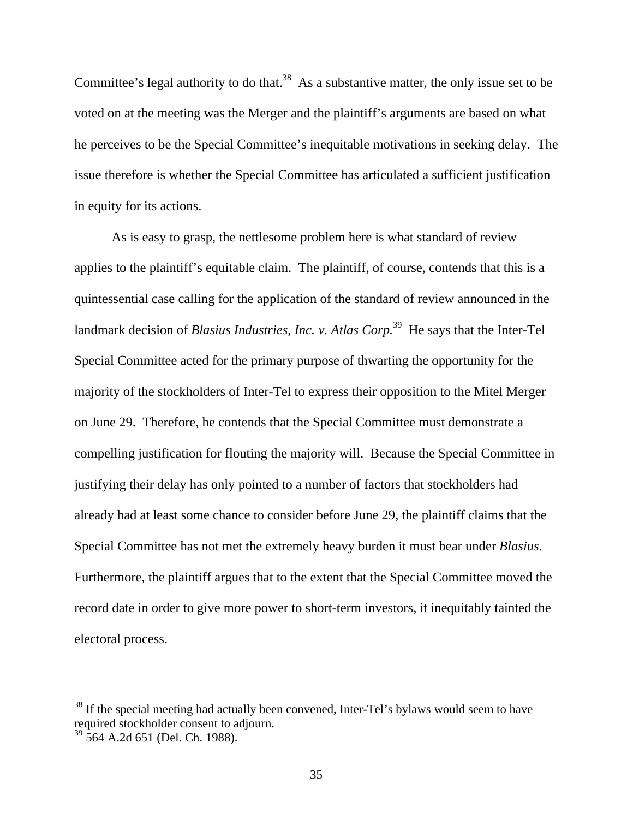Committee's legal authority to do that.<sup>38</sup> As a substantive matter, the only issue set to be voted on at the meeting was the Merger and the plaintiff's arguments are based on what he perceives to be the Special Committee's inequitable motivations in seeking delay. The issue therefore is whether the Special Committee has articulated a sufficient justification in equity for its actions.

As is easy to grasp, the nettlesome problem here is what standard of review applies to the plaintiff's equitable claim. The plaintiff, of course, contends that this is a quintessential case calling for the application of the standard of review announced in the landmark decision of *Blasius Industries, Inc. v. Atlas Corp*.<sup>39</sup> He says that the Inter-Tel Special Committee acted for the primary purpose of thwarting the opportunity for the majority of the stockholders of Inter-Tel to express their opposition to the Mitel Merger on June 29. Therefore, he contends that the Special Committee must demonstrate a compelling justification for flouting the majority will. Because the Special Committee in justifying their delay has only pointed to a number of factors that stockholders had already had at least some chance to consider before June 29, the plaintiff claims that the Special Committee has not met the extremely heavy burden it must bear under *Blasius*. Furthermore, the plaintiff argues that to the extent that the Special Committee moved the record date in order to give more power to short-term investors, it inequitably tainted the electoral process.

 $38$  If the special meeting had actually been convened, Inter-Tel's bylaws would seem to have required stockholder consent to adjourn.

 $39\overline{5}64$  A.2d 651 (Del. Ch. 1988).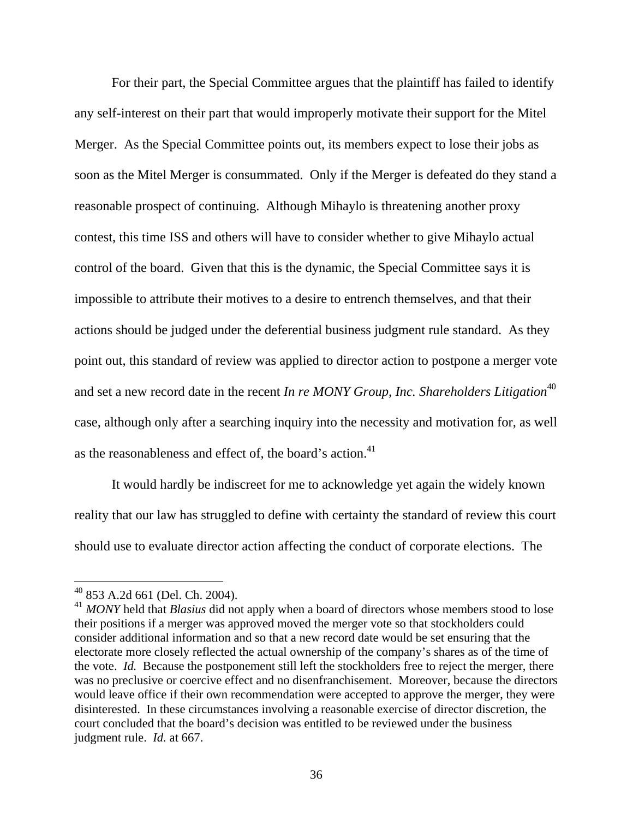For their part, the Special Committee argues that the plaintiff has failed to identify any self-interest on their part that would improperly motivate their support for the Mitel Merger. As the Special Committee points out, its members expect to lose their jobs as soon as the Mitel Merger is consummated. Only if the Merger is defeated do they stand a reasonable prospect of continuing. Although Mihaylo is threatening another proxy contest, this time ISS and others will have to consider whether to give Mihaylo actual control of the board. Given that this is the dynamic, the Special Committee says it is impossible to attribute their motives to a desire to entrench themselves, and that their actions should be judged under the deferential business judgment rule standard. As they point out, this standard of review was applied to director action to postpone a merger vote and set a new record date in the recent *In re MONY Group, Inc. Shareholders Litigation*<sup>40</sup> case, although only after a searching inquiry into the necessity and motivation for, as well as the reasonableness and effect of, the board's action.<sup>41</sup>

 It would hardly be indiscreet for me to acknowledge yet again the widely known reality that our law has struggled to define with certainty the standard of review this court should use to evaluate director action affecting the conduct of corporate elections. The

 $40$  853 A.2d 661 (Del. Ch. 2004).

<sup>41</sup> *MONY* held that *Blasius* did not apply when a board of directors whose members stood to lose their positions if a merger was approved moved the merger vote so that stockholders could consider additional information and so that a new record date would be set ensuring that the electorate more closely reflected the actual ownership of the company's shares as of the time of the vote. *Id.* Because the postponement still left the stockholders free to reject the merger, there was no preclusive or coercive effect and no disenfranchisement. Moreover, because the directors would leave office if their own recommendation were accepted to approve the merger, they were disinterested. In these circumstances involving a reasonable exercise of director discretion, the court concluded that the board's decision was entitled to be reviewed under the business judgment rule. *Id.* at 667.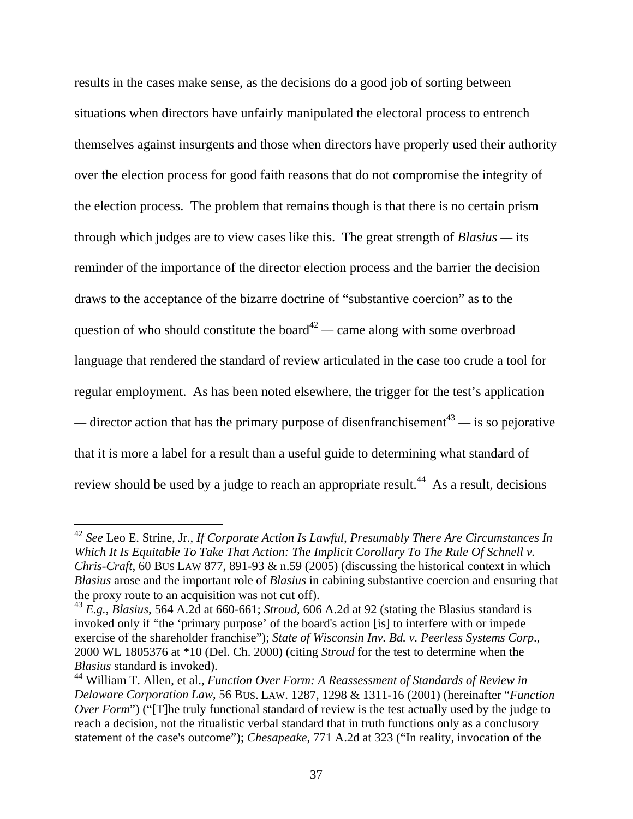results in the cases make sense, as the decisions do a good job of sorting between situations when directors have unfairly manipulated the electoral process to entrench themselves against insurgents and those when directors have properly used their authority over the election process for good faith reasons that do not compromise the integrity of the election process. The problem that remains though is that there is no certain prism through which judges are to view cases like this. The great strength of *Blasius —* its reminder of the importance of the director election process and the barrier the decision draws to the acceptance of the bizarre doctrine of "substantive coercion" as to the question of who should constitute the board<sup> $42$ </sup> — came along with some overbroad language that rendered the standard of review articulated in the case too crude a tool for regular employment. As has been noted elsewhere, the trigger for the test's application  $\frac{1}{2}$  director action that has the primary purpose of disenfranchisement<sup>43</sup> — is so pejorative that it is more a label for a result than a useful guide to determining what standard of review should be used by a judge to reach an appropriate result.<sup>44</sup> As a result, decisions

<sup>42</sup> *See* Leo E. Strine, Jr., *If Corporate Action Is Lawful, Presumably There Are Circumstances In Which It Is Equitable To Take That Action: The Implicit Corollary To The Rule Of Schnell v. Chris-Craft*, 60 BUS LAW 877, 891-93 & n.59 (2005) (discussing the historical context in which *Blasius* arose and the important role of *Blasius* in cabining substantive coercion and ensuring that the proxy route to an acquisition was not cut off).

<sup>43</sup> *E.g.*, *Blasius*, 564 A.2d at 660-661; *Stroud,* 606 A.2d at 92 (stating the Blasius standard is invoked only if "the 'primary purpose' of the board's action [is] to interfere with or impede exercise of the shareholder franchise"); *State of Wisconsin Inv. Bd. v. Peerless Systems Corp*., 2000 WL 1805376 at \*10 (Del. Ch. 2000) (citing *Stroud* for the test to determine when the *Blasius* standard is invoked).

<sup>44</sup> William T. Allen, et al., *Function Over Form: A Reassessment of Standards of Review in Delaware Corporation Law*, 56 BUS. LAW. 1287, 1298 & 1311-16 (2001) (hereinafter "*Function Over Form*") ("[T]he truly functional standard of review is the test actually used by the judge to reach a decision, not the ritualistic verbal standard that in truth functions only as a conclusory statement of the case's outcome"); *Chesapeake*, 771 A.2d at 323 ("In reality, invocation of the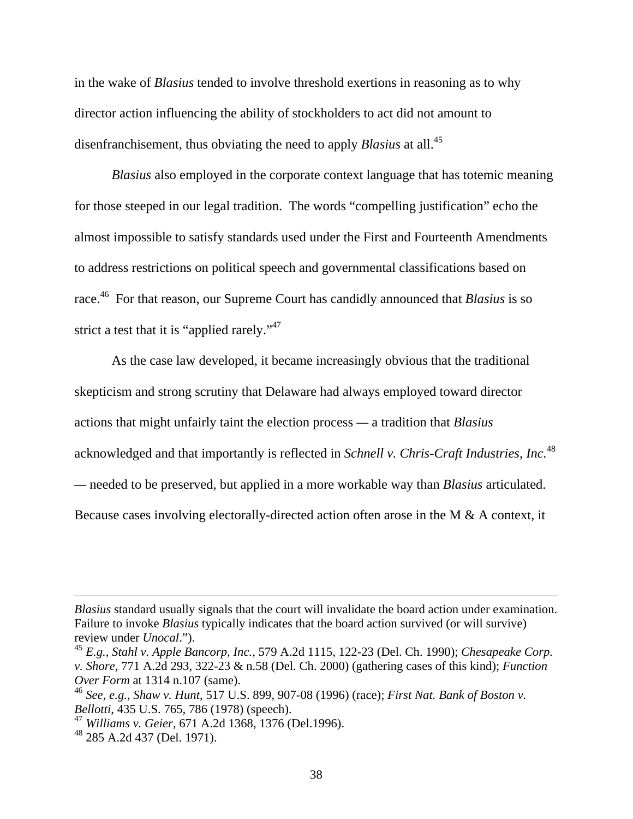in the wake of *Blasius* tended to involve threshold exertions in reasoning as to why director action influencing the ability of stockholders to act did not amount to disenfranchisement, thus obviating the need to apply *Blasius* at all.<sup>45</sup>

*Blasius* also employed in the corporate context language that has totemic meaning for those steeped in our legal tradition. The words "compelling justification" echo the almost impossible to satisfy standards used under the First and Fourteenth Amendments to address restrictions on political speech and governmental classifications based on race.46 For that reason, our Supreme Court has candidly announced that *Blasius* is so strict a test that it is "applied rarely."<sup>47</sup>

 As the case law developed, it became increasingly obvious that the traditional skepticism and strong scrutiny that Delaware had always employed toward director actions that might unfairly taint the election process *—* a tradition that *Blasius* acknowledged and that importantly is reflected in *Schnell v. Chris-Craft Industries, Inc.*<sup>48</sup> *—* needed to be preserved, but applied in a more workable way than *Blasius* articulated. Because cases involving electorally-directed action often arose in the M & A context, it

*Blasius* standard usually signals that the court will invalidate the board action under examination. Failure to invoke *Blasius* typically indicates that the board action survived (or will survive) review under *Unocal*.").

<sup>45</sup> *E.g.*, *Stahl v. Apple Bancorp, Inc.*, 579 A.2d 1115, 122-23 (Del. Ch. 1990); *Chesapeake Corp. v. Shore*, 771 A.2d 293, 322-23 & n.58 (Del. Ch. 2000) (gathering cases of this kind); *Function Over Form* at 1314 n.107 (same).

<sup>46</sup> *See, e.g.*, *Shaw v. Hunt*, 517 U.S. 899, 907-08 (1996) (race); *First Nat. Bank of Boston v. Bellotti*, 435 U.S. 765, 786 (1978) (speech).

<sup>47</sup> *Williams v. Geier*, 671 A.2d 1368, 1376 (Del.1996).

 $^{48}$  285 A.2d 437 (Del. 1971).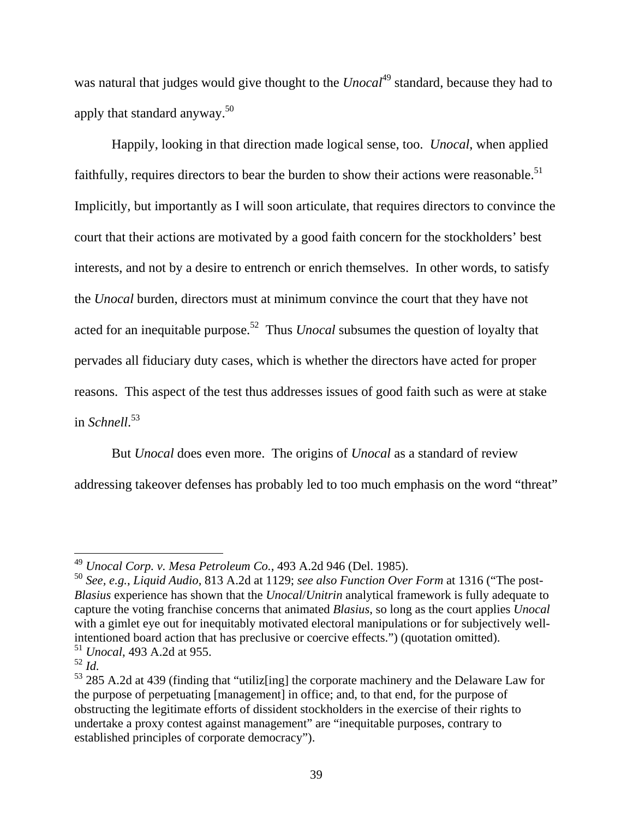was natural that judges would give thought to the *Unocal*<sup>49</sup> standard, because they had to apply that standard anyway.50

 Happily, looking in that direction made logical sense, too. *Unocal*, when applied faithfully, requires directors to bear the burden to show their actions were reasonable.<sup>51</sup> Implicitly, but importantly as I will soon articulate, that requires directors to convince the court that their actions are motivated by a good faith concern for the stockholders' best interests, and not by a desire to entrench or enrich themselves. In other words, to satisfy the *Unocal* burden, directors must at minimum convince the court that they have not acted for an inequitable purpose.<sup>52</sup> Thus *Unocal* subsumes the question of loyalty that pervades all fiduciary duty cases, which is whether the directors have acted for proper reasons. This aspect of the test thus addresses issues of good faith such as were at stake in *Schnell*. 53

 But *Unocal* does even more. The origins of *Unocal* as a standard of review addressing takeover defenses has probably led to too much emphasis on the word "threat"

<sup>49</sup> *Unocal Corp. v. Mesa Petroleum Co.*, 493 A.2d 946 (Del. 1985).

<sup>50</sup> *See, e.g.*, *Liquid Audio*, 813 A.2d at 1129; *see also Function Over Form* at 1316 ("The post-*Blasius* experience has shown that the *Unocal*/*Unitrin* analytical framework is fully adequate to capture the voting franchise concerns that animated *Blasius*, so long as the court applies *Unocal* with a gimlet eye out for inequitably motivated electoral manipulations or for subjectively wellintentioned board action that has preclusive or coercive effects.") (quotation omitted). <sup>51</sup> *Unocal*, 493 A.2d at 955.

 $^{52}$  *Id.* 

<sup>53 285</sup> A.2d at 439 (finding that "utiliz[ing] the corporate machinery and the Delaware Law for the purpose of perpetuating [management] in office; and, to that end, for the purpose of obstructing the legitimate efforts of dissident stockholders in the exercise of their rights to undertake a proxy contest against management" are "inequitable purposes, contrary to established principles of corporate democracy").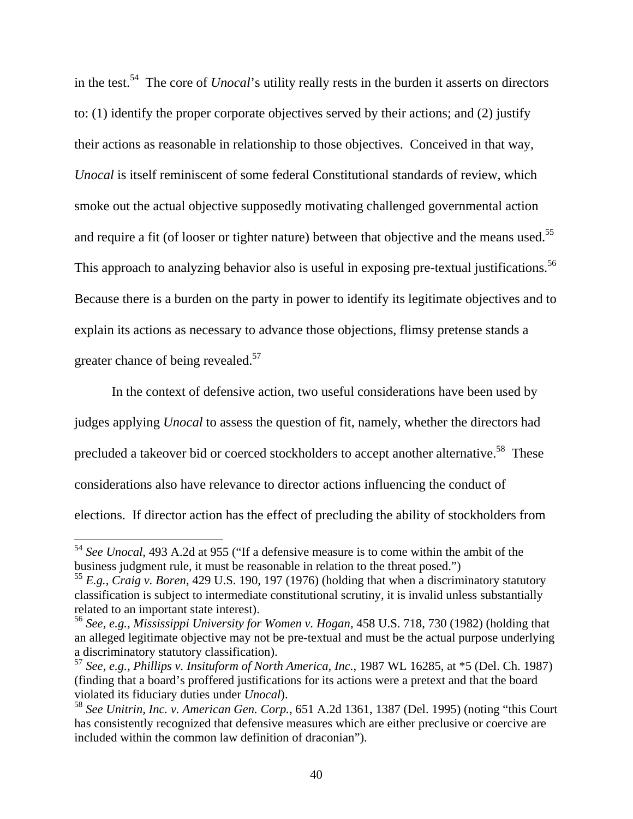in the test.54 The core of *Unocal*'s utility really rests in the burden it asserts on directors to: (1) identify the proper corporate objectives served by their actions; and (2) justify their actions as reasonable in relationship to those objectives. Conceived in that way, *Unocal* is itself reminiscent of some federal Constitutional standards of review, which smoke out the actual objective supposedly motivating challenged governmental action and require a fit (of looser or tighter nature) between that objective and the means used.<sup>55</sup> This approach to analyzing behavior also is useful in exposing pre-textual justifications.<sup>56</sup> Because there is a burden on the party in power to identify its legitimate objectives and to explain its actions as necessary to advance those objections, flimsy pretense stands a greater chance of being revealed.<sup>57</sup>

In the context of defensive action, two useful considerations have been used by judges applying *Unocal* to assess the question of fit, namely, whether the directors had precluded a takeover bid or coerced stockholders to accept another alternative.<sup>58</sup> These considerations also have relevance to director actions influencing the conduct of elections. If director action has the effect of precluding the ability of stockholders from

<sup>54</sup> *See Unocal*, 493 A.2d at 955 ("If a defensive measure is to come within the ambit of the business judgment rule, it must be reasonable in relation to the threat posed.")

<sup>55</sup> *E.g.*, *Craig v. Boren*, 429 U.S. 190, 197 (1976) (holding that when a discriminatory statutory classification is subject to intermediate constitutional scrutiny, it is invalid unless substantially related to an important state interest).

<sup>56</sup> *See, e.g., Mississippi University for Women v. Hogan*, 458 U.S. 718, 730 (1982) (holding that an alleged legitimate objective may not be pre-textual and must be the actual purpose underlying a discriminatory statutory classification).

<sup>57</sup> *See, e.g., Phillips v. Insituform of North America, Inc.*, 1987 WL 16285, at \*5 (Del. Ch. 1987) (finding that a board's proffered justifications for its actions were a pretext and that the board violated its fiduciary duties under *Unocal*).

<sup>58</sup> *See Unitrin, Inc. v. American Gen. Corp.*, 651 A.2d 1361, 1387 (Del. 1995) (noting "this Court has consistently recognized that defensive measures which are either preclusive or coercive are included within the common law definition of draconian").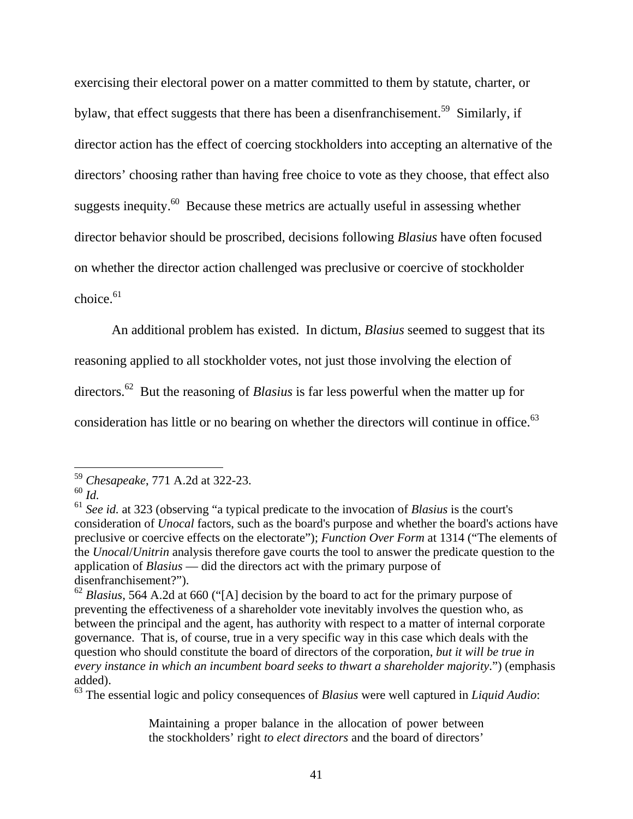exercising their electoral power on a matter committed to them by statute, charter, or bylaw, that effect suggests that there has been a disenfranchisement.<sup>59</sup> Similarly, if director action has the effect of coercing stockholders into accepting an alternative of the directors' choosing rather than having free choice to vote as they choose, that effect also suggests inequity.<sup>60</sup> Because these metrics are actually useful in assessing whether director behavior should be proscribed, decisions following *Blasius* have often focused on whether the director action challenged was preclusive or coercive of stockholder  $choice<sup>61</sup>$ 

An additional problem has existed. In dictum, *Blasius* seemed to suggest that its

reasoning applied to all stockholder votes, not just those involving the election of

directors.<sup>62</sup> But the reasoning of *Blasius* is far less powerful when the matter up for

consideration has little or no bearing on whether the directors will continue in office.<sup>63</sup>

<sup>59</sup> *Chesapeake*, 771 A.2d at 322-23.

<sup>60</sup> *Id.*

<sup>61</sup> *See id.* at 323 (observing "a typical predicate to the invocation of *Blasius* is the court's consideration of *Unocal* factors, such as the board's purpose and whether the board's actions have preclusive or coercive effects on the electorate"); *Function Over Form* at 1314 ("The elements of the *Unocal*/*Unitrin* analysis therefore gave courts the tool to answer the predicate question to the application of *Blasius* — did the directors act with the primary purpose of disenfranchisement?").

<sup>62</sup> *Blasius*, 564 A.2d at 660 ("[A] decision by the board to act for the primary purpose of preventing the effectiveness of a shareholder vote inevitably involves the question who, as between the principal and the agent, has authority with respect to a matter of internal corporate governance. That is, of course, true in a very specific way in this case which deals with the question who should constitute the board of directors of the corporation, *but it will be true in every instance in which an incumbent board seeks to thwart a shareholder majority*.") (emphasis added).

<sup>63</sup> The essential logic and policy consequences of *Blasius* were well captured in *Liquid Audio*:

Maintaining a proper balance in the allocation of power between the stockholders' right *to elect directors* and the board of directors'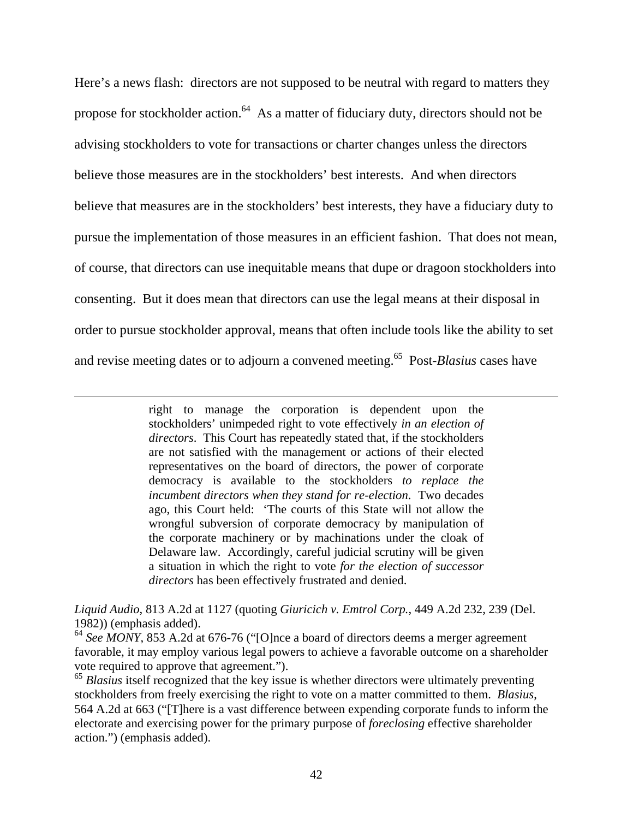Here's a news flash: directors are not supposed to be neutral with regard to matters they propose for stockholder action. $64$  As a matter of fiduciary duty, directors should not be advising stockholders to vote for transactions or charter changes unless the directors believe those measures are in the stockholders' best interests. And when directors believe that measures are in the stockholders' best interests, they have a fiduciary duty to pursue the implementation of those measures in an efficient fashion. That does not mean, of course, that directors can use inequitable means that dupe or dragoon stockholders into consenting. But it does mean that directors can use the legal means at their disposal in order to pursue stockholder approval, means that often include tools like the ability to set and revise meeting dates or to adjourn a convened meeting.65 Post-*Blasius* cases have

> right to manage the corporation is dependent upon the stockholders' unimpeded right to vote effectively *in an election of directors*. This Court has repeatedly stated that, if the stockholders are not satisfied with the management or actions of their elected representatives on the board of directors, the power of corporate democracy is available to the stockholders *to replace the incumbent directors when they stand for re-election*. Two decades ago, this Court held: 'The courts of this State will not allow the wrongful subversion of corporate democracy by manipulation of the corporate machinery or by machinations under the cloak of Delaware law. Accordingly, careful judicial scrutiny will be given a situation in which the right to vote *for the election of successor directors* has been effectively frustrated and denied.

 $\overline{a}$ 

*Liquid Audio*, 813 A.2d at 1127 (quoting *Giuricich v. Emtrol Corp.*, 449 A.2d 232, 239 (Del. 1982)) (emphasis added).

<sup>64</sup> See MONY, 853 A.2d at 676-76 ("[O]nce a board of directors deems a merger agreement favorable, it may employ various legal powers to achieve a favorable outcome on a shareholder vote required to approve that agreement.").

<sup>65</sup> Blasius itself recognized that the key issue is whether directors were ultimately preventing stockholders from freely exercising the right to vote on a matter committed to them. *Blasius*, 564 A.2d at 663 ("[T]here is a vast difference between expending corporate funds to inform the electorate and exercising power for the primary purpose of *foreclosing* effective shareholder action.") (emphasis added).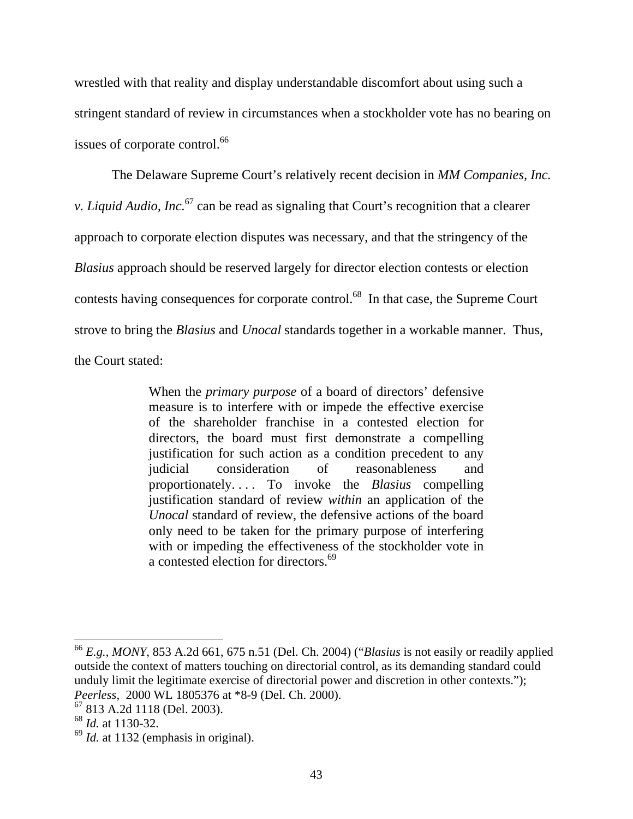wrestled with that reality and display understandable discomfort about using such a stringent standard of review in circumstances when a stockholder vote has no bearing on issues of corporate control.<sup>66</sup>

 The Delaware Supreme Court's relatively recent decision in *MM Companies, Inc. v. Liquid Audio, Inc.*67 can be read as signaling that Court's recognition that a clearer approach to corporate election disputes was necessary, and that the stringency of the *Blasius* approach should be reserved largely for director election contests or election contests having consequences for corporate control.<sup>68</sup> In that case, the Supreme Court strove to bring the *Blasius* and *Unocal* standards together in a workable manner. Thus, the Court stated:

> When the *primary purpose* of a board of directors' defensive measure is to interfere with or impede the effective exercise of the shareholder franchise in a contested election for directors, the board must first demonstrate a compelling justification for such action as a condition precedent to any judicial consideration of reasonableness and proportionately. . . . To invoke the *Blasius* compelling justification standard of review *within* an application of the *Unocal* standard of review, the defensive actions of the board only need to be taken for the primary purpose of interfering with or impeding the effectiveness of the stockholder vote in a contested election for directors.<sup>69</sup>

<sup>66</sup> *E.g.*, *MONY*, 853 A.2d 661, 675 n.51 (Del. Ch. 2004) ("*Blasius* is not easily or readily applied outside the context of matters touching on directorial control, as its demanding standard could unduly limit the legitimate exercise of directorial power and discretion in other contexts."); *Peerless*, 2000 WL 1805376 at \*8-9 (Del. Ch. 2000).

<sup>67 813</sup> A.2d 1118 (Del. 2003).

<sup>68</sup> *Id.* at 1130-32.

<sup>69</sup> *Id.* at 1132 (emphasis in original).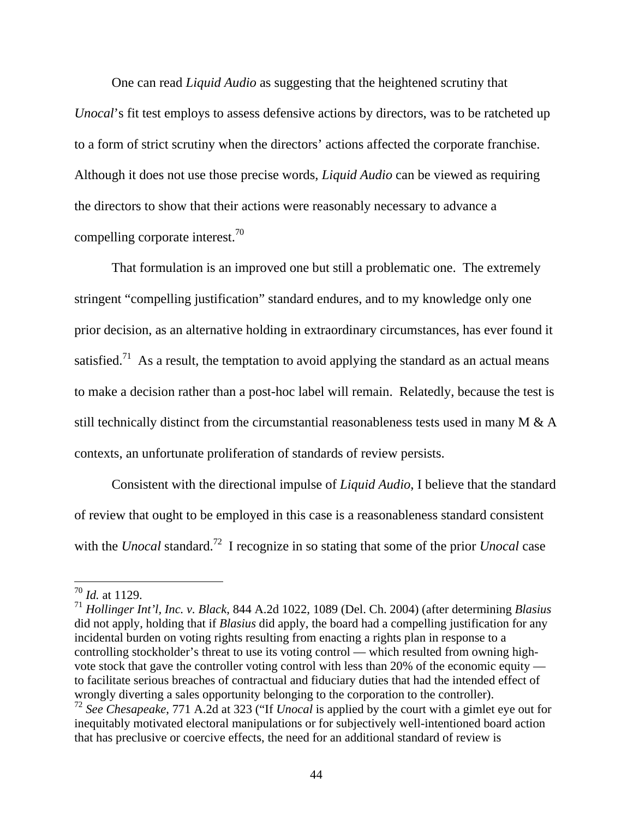One can read *Liquid Audio* as suggesting that the heightened scrutiny that *Unocal*'s fit test employs to assess defensive actions by directors, was to be ratcheted up to a form of strict scrutiny when the directors' actions affected the corporate franchise. Although it does not use those precise words, *Liquid Audio* can be viewed as requiring the directors to show that their actions were reasonably necessary to advance a compelling corporate interest.<sup>70</sup>

 That formulation is an improved one but still a problematic one. The extremely stringent "compelling justification" standard endures, and to my knowledge only one prior decision, as an alternative holding in extraordinary circumstances, has ever found it satisfied.<sup>71</sup> As a result, the temptation to avoid applying the standard as an actual means to make a decision rather than a post-hoc label will remain. Relatedly, because the test is still technically distinct from the circumstantial reasonableness tests used in many M & A contexts, an unfortunate proliferation of standards of review persists.

 Consistent with the directional impulse of *Liquid Audio*, I believe that the standard of review that ought to be employed in this case is a reasonableness standard consistent with the *Unocal* standard.<sup>72</sup> I recognize in so stating that some of the prior *Unocal* case

<sup>70</sup> *Id.* at 1129.

<sup>71</sup> *Hollinger Int'l, Inc. v. Black*, 844 A.2d 1022, 1089 (Del. Ch. 2004) (after determining *Blasius* did not apply, holding that if *Blasius* did apply, the board had a compelling justification for any incidental burden on voting rights resulting from enacting a rights plan in response to a controlling stockholder's threat to use its voting control — which resulted from owning highvote stock that gave the controller voting control with less than 20% of the economic equity to facilitate serious breaches of contractual and fiduciary duties that had the intended effect of wrongly diverting a sales opportunity belonging to the corporation to the controller).

<sup>72</sup> *See Chesapeake*, 771 A.2d at 323 ("If *Unocal* is applied by the court with a gimlet eye out for inequitably motivated electoral manipulations or for subjectively well-intentioned board action that has preclusive or coercive effects, the need for an additional standard of review is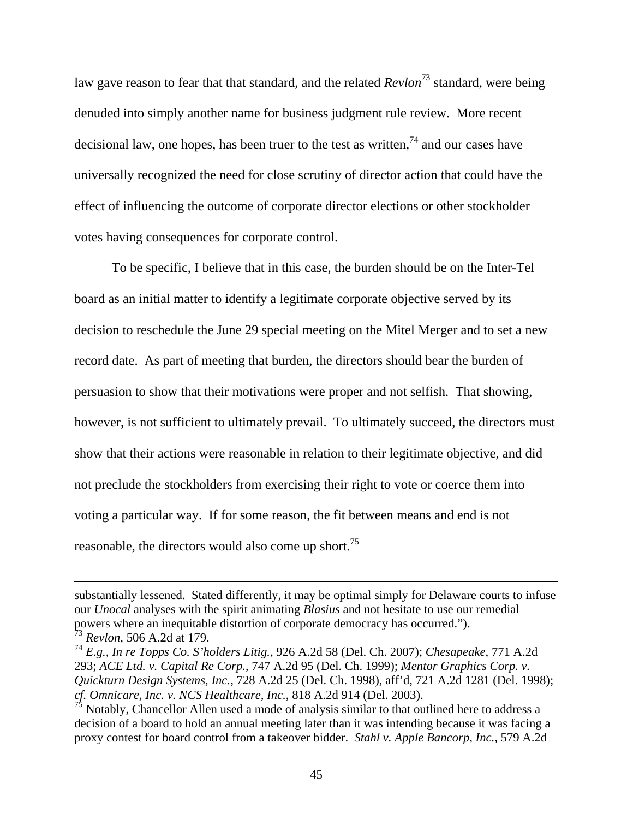law gave reason to fear that that standard, and the related *Revlon*73 standard, were being denuded into simply another name for business judgment rule review. More recent decisional law, one hopes, has been truer to the test as written.<sup>74</sup> and our cases have universally recognized the need for close scrutiny of director action that could have the effect of influencing the outcome of corporate director elections or other stockholder votes having consequences for corporate control.

 To be specific, I believe that in this case, the burden should be on the Inter-Tel board as an initial matter to identify a legitimate corporate objective served by its decision to reschedule the June 29 special meeting on the Mitel Merger and to set a new record date. As part of meeting that burden, the directors should bear the burden of persuasion to show that their motivations were proper and not selfish. That showing, however, is not sufficient to ultimately prevail. To ultimately succeed, the directors must show that their actions were reasonable in relation to their legitimate objective, and did not preclude the stockholders from exercising their right to vote or coerce them into voting a particular way. If for some reason, the fit between means and end is not reasonable, the directors would also come up short.<sup>75</sup>

substantially lessened. Stated differently, it may be optimal simply for Delaware courts to infuse our *Unocal* analyses with the spirit animating *Blasius* and not hesitate to use our remedial powers where an inequitable distortion of corporate democracy has occurred.").

<sup>73</sup> *Revlon*, 506 A.2d at 179.

<sup>74</sup> *E.g., In re Topps Co. S'holders Litig.*, 926 A.2d 58 (Del. Ch. 2007); *Chesapeake*, 771 A.2d 293; *ACE Ltd. v. Capital Re Corp.*, 747 A.2d 95 (Del. Ch. 1999); *Mentor Graphics Corp. v. Quickturn Design Systems, Inc.*, 728 A.2d 25 (Del. Ch. 1998), aff'd, 721 A.2d 1281 (Del. 1998); *cf. Omnicare, Inc. v. NCS Healthcare, Inc.*, 818 A.2d 914 (Del. 2003).

Notably, Chancellor Allen used a mode of analysis similar to that outlined here to address a decision of a board to hold an annual meeting later than it was intending because it was facing a proxy contest for board control from a takeover bidder. *Stahl v. Apple Bancorp, Inc.,* 579 A.2d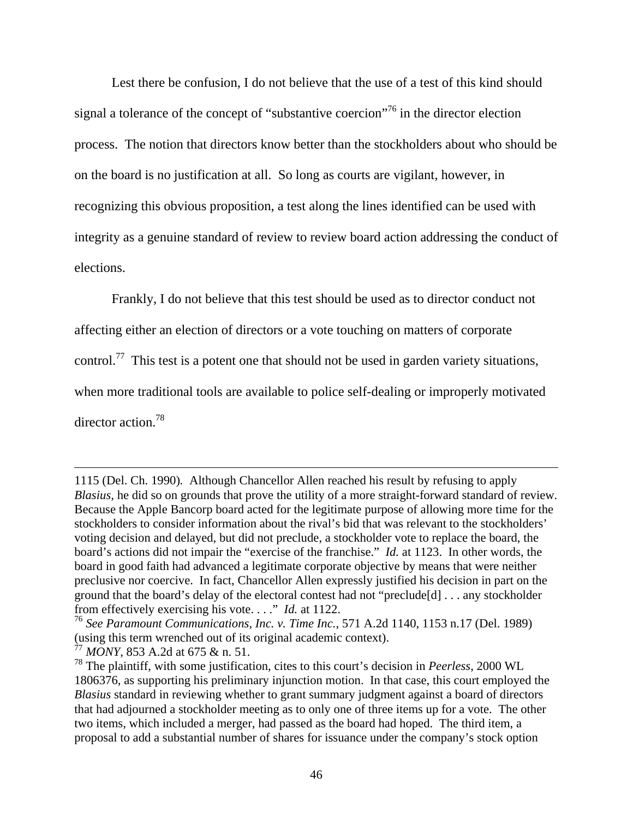Lest there be confusion, I do not believe that the use of a test of this kind should signal a tolerance of the concept of "substantive coercion"<sup>76</sup> in the director election process. The notion that directors know better than the stockholders about who should be on the board is no justification at all. So long as courts are vigilant, however, in recognizing this obvious proposition, a test along the lines identified can be used with integrity as a genuine standard of review to review board action addressing the conduct of elections.

Frankly, I do not believe that this test should be used as to director conduct not

affecting either an election of directors or a vote touching on matters of corporate

control.<sup>77</sup> This test is a potent one that should not be used in garden variety situations,

when more traditional tools are available to police self-dealing or improperly motivated

director action.<sup>78</sup>

<sup>1115 (</sup>Del. Ch. 1990)*.* Although Chancellor Allen reached his result by refusing to apply *Blasius,* he did so on grounds that prove the utility of a more straight-forward standard of review. Because the Apple Bancorp board acted for the legitimate purpose of allowing more time for the stockholders to consider information about the rival's bid that was relevant to the stockholders' voting decision and delayed, but did not preclude, a stockholder vote to replace the board, the board's actions did not impair the "exercise of the franchise." *Id.* at 1123. In other words, the board in good faith had advanced a legitimate corporate objective by means that were neither preclusive nor coercive. In fact, Chancellor Allen expressly justified his decision in part on the ground that the board's delay of the electoral contest had not "preclude[d] . . . any stockholder from effectively exercising his vote. . . ." *Id.* at 1122.

<sup>76</sup> *See Paramount Communications, Inc. v. Time Inc.*, 571 A.2d 1140, 1153 n.17 (Del. 1989) (using this term wrenched out of its original academic context).

<sup>77</sup> *MONY*, 853 A.2d at 675 & n. 51.

<sup>78</sup> The plaintiff, with some justification, cites to this court's decision in *Peerless*, 2000 WL 1806376, as supporting his preliminary injunction motion. In that case, this court employed the *Blasius* standard in reviewing whether to grant summary judgment against a board of directors that had adjourned a stockholder meeting as to only one of three items up for a vote. The other two items, which included a merger, had passed as the board had hoped. The third item, a proposal to add a substantial number of shares for issuance under the company's stock option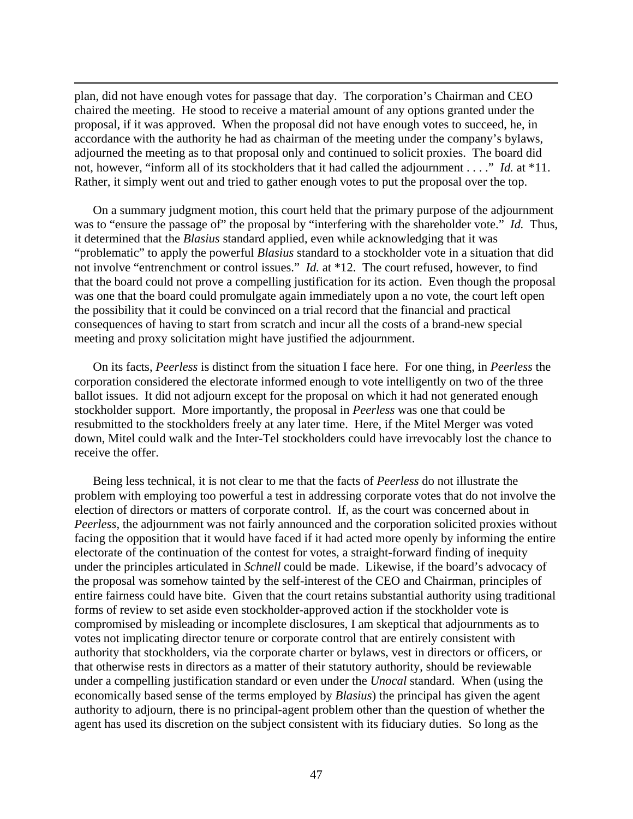plan, did not have enough votes for passage that day. The corporation's Chairman and CEO chaired the meeting. He stood to receive a material amount of any options granted under the proposal, if it was approved. When the proposal did not have enough votes to succeed, he, in accordance with the authority he had as chairman of the meeting under the company's bylaws, adjourned the meeting as to that proposal only and continued to solicit proxies. The board did not, however, "inform all of its stockholders that it had called the adjournment . . . ." *Id.* at \*11. Rather, it simply went out and tried to gather enough votes to put the proposal over the top.

 $\overline{a}$ 

On a summary judgment motion, this court held that the primary purpose of the adjournment was to "ensure the passage of" the proposal by "interfering with the shareholder vote." *Id.* Thus, it determined that the *Blasius* standard applied, even while acknowledging that it was "problematic" to apply the powerful *Blasius* standard to a stockholder vote in a situation that did not involve "entrenchment or control issues." *Id.* at \*12. The court refused, however, to find that the board could not prove a compelling justification for its action. Even though the proposal was one that the board could promulgate again immediately upon a no vote, the court left open the possibility that it could be convinced on a trial record that the financial and practical consequences of having to start from scratch and incur all the costs of a brand-new special meeting and proxy solicitation might have justified the adjournment.

On its facts, *Peerless* is distinct from the situation I face here. For one thing, in *Peerless* the corporation considered the electorate informed enough to vote intelligently on two of the three ballot issues. It did not adjourn except for the proposal on which it had not generated enough stockholder support. More importantly, the proposal in *Peerless* was one that could be resubmitted to the stockholders freely at any later time. Here, if the Mitel Merger was voted down, Mitel could walk and the Inter-Tel stockholders could have irrevocably lost the chance to receive the offer.

Being less technical, it is not clear to me that the facts of *Peerless* do not illustrate the problem with employing too powerful a test in addressing corporate votes that do not involve the election of directors or matters of corporate control. If, as the court was concerned about in *Peerless*, the adjournment was not fairly announced and the corporation solicited proxies without facing the opposition that it would have faced if it had acted more openly by informing the entire electorate of the continuation of the contest for votes, a straight-forward finding of inequity under the principles articulated in *Schnell* could be made. Likewise, if the board's advocacy of the proposal was somehow tainted by the self-interest of the CEO and Chairman, principles of entire fairness could have bite. Given that the court retains substantial authority using traditional forms of review to set aside even stockholder-approved action if the stockholder vote is compromised by misleading or incomplete disclosures, I am skeptical that adjournments as to votes not implicating director tenure or corporate control that are entirely consistent with authority that stockholders, via the corporate charter or bylaws, vest in directors or officers, or that otherwise rests in directors as a matter of their statutory authority, should be reviewable under a compelling justification standard or even under the *Unocal* standard. When (using the economically based sense of the terms employed by *Blasius*) the principal has given the agent authority to adjourn, there is no principal-agent problem other than the question of whether the agent has used its discretion on the subject consistent with its fiduciary duties. So long as the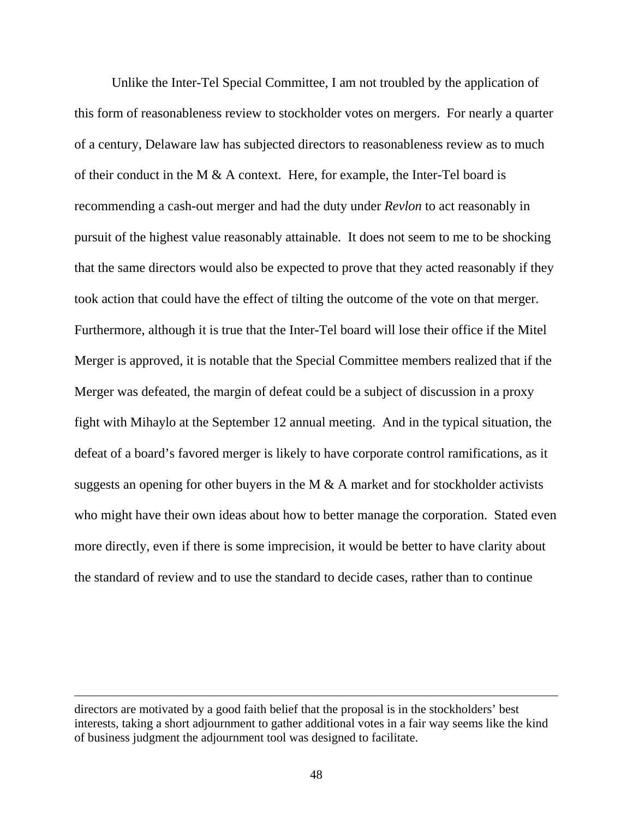Unlike the Inter-Tel Special Committee, I am not troubled by the application of this form of reasonableness review to stockholder votes on mergers. For nearly a quarter of a century, Delaware law has subjected directors to reasonableness review as to much of their conduct in the M  $\&$  A context. Here, for example, the Inter-Tel board is recommending a cash-out merger and had the duty under *Revlon* to act reasonably in pursuit of the highest value reasonably attainable. It does not seem to me to be shocking that the same directors would also be expected to prove that they acted reasonably if they took action that could have the effect of tilting the outcome of the vote on that merger. Furthermore, although it is true that the Inter-Tel board will lose their office if the Mitel Merger is approved, it is notable that the Special Committee members realized that if the Merger was defeated, the margin of defeat could be a subject of discussion in a proxy fight with Mihaylo at the September 12 annual meeting. And in the typical situation, the defeat of a board's favored merger is likely to have corporate control ramifications, as it suggests an opening for other buyers in the M  $\&$  A market and for stockholder activists who might have their own ideas about how to better manage the corporation. Stated even more directly, even if there is some imprecision, it would be better to have clarity about the standard of review and to use the standard to decide cases, rather than to continue

directors are motivated by a good faith belief that the proposal is in the stockholders' best interests, taking a short adjournment to gather additional votes in a fair way seems like the kind of business judgment the adjournment tool was designed to facilitate.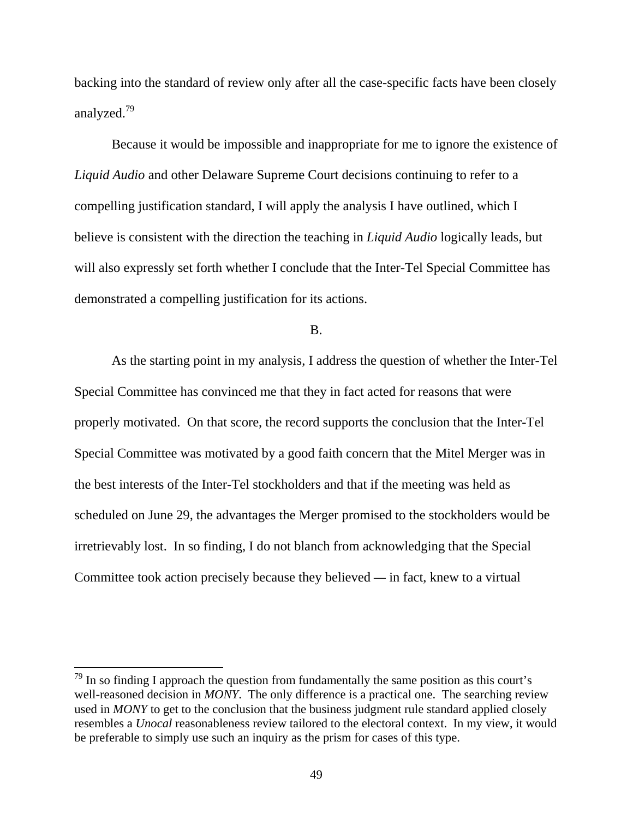backing into the standard of review only after all the case-specific facts have been closely analyzed.79

 Because it would be impossible and inappropriate for me to ignore the existence of *Liquid Audio* and other Delaware Supreme Court decisions continuing to refer to a compelling justification standard, I will apply the analysis I have outlined, which I believe is consistent with the direction the teaching in *Liquid Audio* logically leads, but will also expressly set forth whether I conclude that the Inter-Tel Special Committee has demonstrated a compelling justification for its actions.

B.

 As the starting point in my analysis, I address the question of whether the Inter-Tel Special Committee has convinced me that they in fact acted for reasons that were properly motivated. On that score, the record supports the conclusion that the Inter-Tel Special Committee was motivated by a good faith concern that the Mitel Merger was in the best interests of the Inter-Tel stockholders and that if the meeting was held as scheduled on June 29, the advantages the Merger promised to the stockholders would be irretrievably lost. In so finding, I do not blanch from acknowledging that the Special Committee took action precisely because they believed *—* in fact, knew to a virtual

 $79$  In so finding I approach the question from fundamentally the same position as this court's well-reasoned decision in *MONY*. The only difference is a practical one. The searching review used in *MONY* to get to the conclusion that the business judgment rule standard applied closely resembles a *Unocal* reasonableness review tailored to the electoral context. In my view, it would be preferable to simply use such an inquiry as the prism for cases of this type.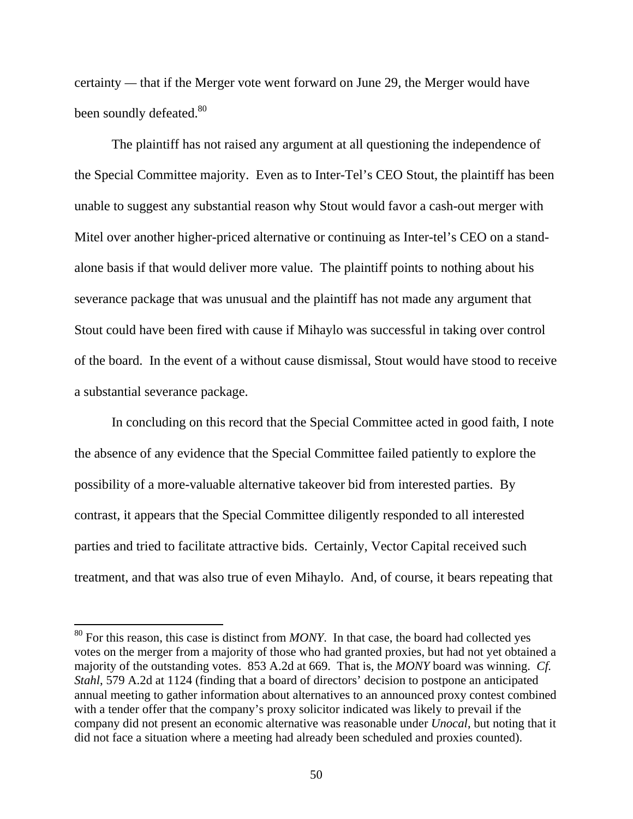certainty *—* that if the Merger vote went forward on June 29, the Merger would have been soundly defeated.<sup>80</sup>

 The plaintiff has not raised any argument at all questioning the independence of the Special Committee majority. Even as to Inter-Tel's CEO Stout, the plaintiff has been unable to suggest any substantial reason why Stout would favor a cash-out merger with Mitel over another higher-priced alternative or continuing as Inter-tel's CEO on a standalone basis if that would deliver more value. The plaintiff points to nothing about his severance package that was unusual and the plaintiff has not made any argument that Stout could have been fired with cause if Mihaylo was successful in taking over control of the board. In the event of a without cause dismissal, Stout would have stood to receive a substantial severance package.

 In concluding on this record that the Special Committee acted in good faith, I note the absence of any evidence that the Special Committee failed patiently to explore the possibility of a more-valuable alternative takeover bid from interested parties. By contrast, it appears that the Special Committee diligently responded to all interested parties and tried to facilitate attractive bids. Certainly, Vector Capital received such treatment, and that was also true of even Mihaylo. And, of course, it bears repeating that

<sup>80</sup> For this reason, this case is distinct from *MONY*. In that case, the board had collected yes votes on the merger from a majority of those who had granted proxies, but had not yet obtained a majority of the outstanding votes. 853 A.2d at 669. That is, the *MONY* board was winning. *Cf. Stahl*, 579 A.2d at 1124 (finding that a board of directors' decision to postpone an anticipated annual meeting to gather information about alternatives to an announced proxy contest combined with a tender offer that the company's proxy solicitor indicated was likely to prevail if the company did not present an economic alternative was reasonable under *Unocal*, but noting that it did not face a situation where a meeting had already been scheduled and proxies counted).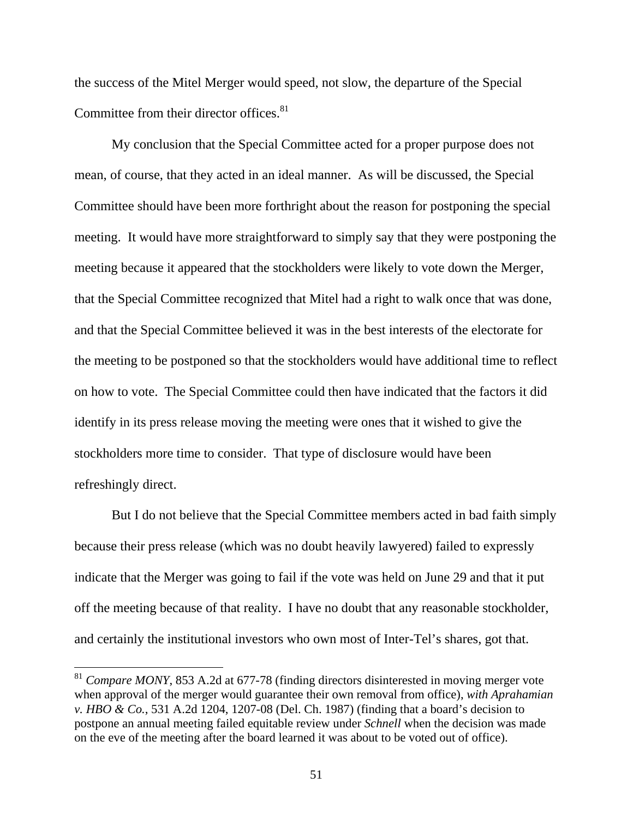the success of the Mitel Merger would speed, not slow, the departure of the Special Committee from their director offices.<sup>81</sup>

My conclusion that the Special Committee acted for a proper purpose does not mean, of course, that they acted in an ideal manner. As will be discussed, the Special Committee should have been more forthright about the reason for postponing the special meeting. It would have more straightforward to simply say that they were postponing the meeting because it appeared that the stockholders were likely to vote down the Merger, that the Special Committee recognized that Mitel had a right to walk once that was done, and that the Special Committee believed it was in the best interests of the electorate for the meeting to be postponed so that the stockholders would have additional time to reflect on how to vote. The Special Committee could then have indicated that the factors it did identify in its press release moving the meeting were ones that it wished to give the stockholders more time to consider. That type of disclosure would have been refreshingly direct.

 But I do not believe that the Special Committee members acted in bad faith simply because their press release (which was no doubt heavily lawyered) failed to expressly indicate that the Merger was going to fail if the vote was held on June 29 and that it put off the meeting because of that reality. I have no doubt that any reasonable stockholder, and certainly the institutional investors who own most of Inter-Tel's shares, got that.

<sup>81</sup> *Compare MONY*, 853 A.2d at 677-78 (finding directors disinterested in moving merger vote when approval of the merger would guarantee their own removal from office), *with Aprahamian v. HBO & Co.*, 531 A.2d 1204, 1207-08 (Del. Ch. 1987) (finding that a board's decision to postpone an annual meeting failed equitable review under *Schnell* when the decision was made on the eve of the meeting after the board learned it was about to be voted out of office).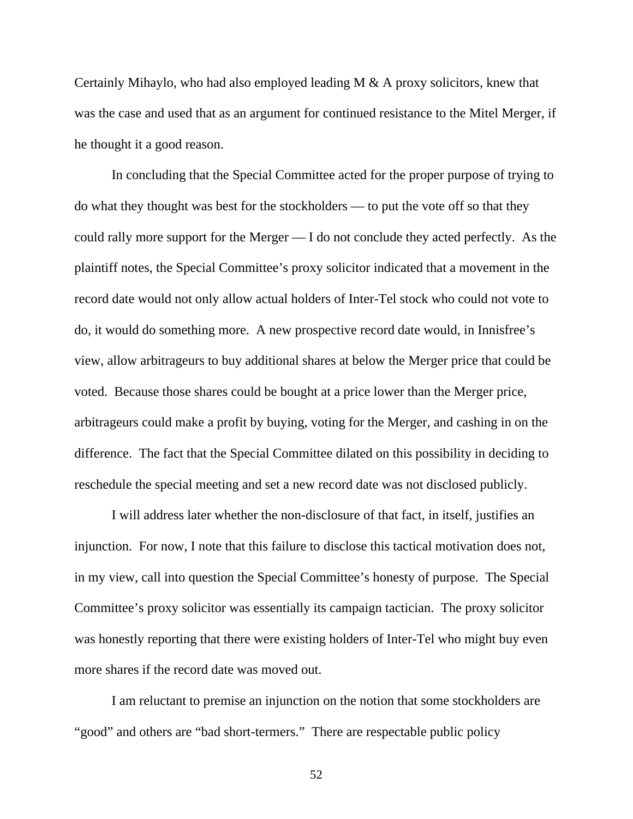Certainly Mihaylo, who had also employed leading M & A proxy solicitors, knew that was the case and used that as an argument for continued resistance to the Mitel Merger, if he thought it a good reason.

 In concluding that the Special Committee acted for the proper purpose of trying to do what they thought was best for the stockholders — to put the vote off so that they could rally more support for the Merger — I do not conclude they acted perfectly. As the plaintiff notes, the Special Committee's proxy solicitor indicated that a movement in the record date would not only allow actual holders of Inter-Tel stock who could not vote to do, it would do something more. A new prospective record date would, in Innisfree's view, allow arbitrageurs to buy additional shares at below the Merger price that could be voted. Because those shares could be bought at a price lower than the Merger price, arbitrageurs could make a profit by buying, voting for the Merger, and cashing in on the difference. The fact that the Special Committee dilated on this possibility in deciding to reschedule the special meeting and set a new record date was not disclosed publicly.

I will address later whether the non-disclosure of that fact, in itself, justifies an injunction. For now, I note that this failure to disclose this tactical motivation does not, in my view, call into question the Special Committee's honesty of purpose. The Special Committee's proxy solicitor was essentially its campaign tactician. The proxy solicitor was honestly reporting that there were existing holders of Inter-Tel who might buy even more shares if the record date was moved out.

 I am reluctant to premise an injunction on the notion that some stockholders are "good" and others are "bad short-termers." There are respectable public policy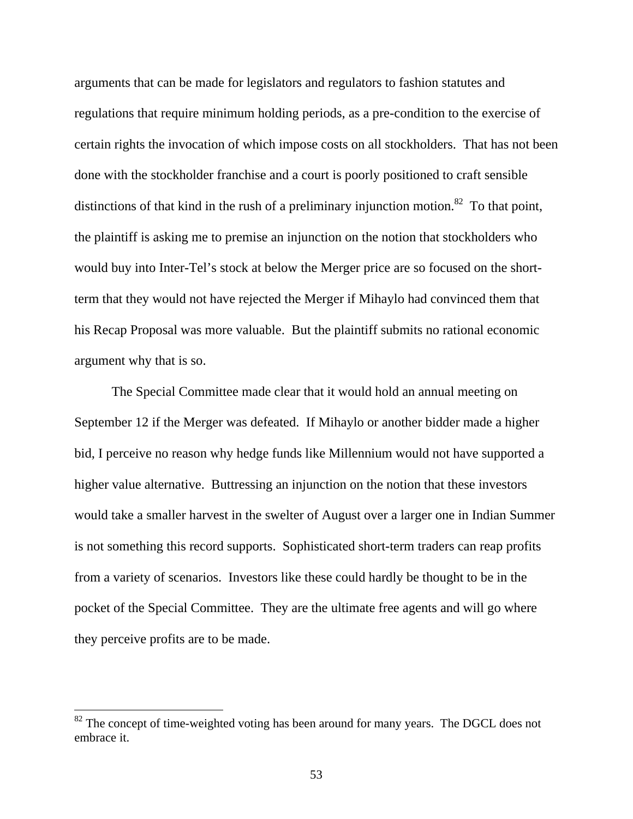arguments that can be made for legislators and regulators to fashion statutes and regulations that require minimum holding periods, as a pre-condition to the exercise of certain rights the invocation of which impose costs on all stockholders. That has not been done with the stockholder franchise and a court is poorly positioned to craft sensible distinctions of that kind in the rush of a preliminary injunction motion.<sup>82</sup> To that point, the plaintiff is asking me to premise an injunction on the notion that stockholders who would buy into Inter-Tel's stock at below the Merger price are so focused on the shortterm that they would not have rejected the Merger if Mihaylo had convinced them that his Recap Proposal was more valuable. But the plaintiff submits no rational economic argument why that is so.

 The Special Committee made clear that it would hold an annual meeting on September 12 if the Merger was defeated. If Mihaylo or another bidder made a higher bid, I perceive no reason why hedge funds like Millennium would not have supported a higher value alternative. Buttressing an injunction on the notion that these investors would take a smaller harvest in the swelter of August over a larger one in Indian Summer is not something this record supports. Sophisticated short-term traders can reap profits from a variety of scenarios. Investors like these could hardly be thought to be in the pocket of the Special Committee. They are the ultimate free agents and will go where they perceive profits are to be made.

 $82$  The concept of time-weighted voting has been around for many years. The DGCL does not embrace it.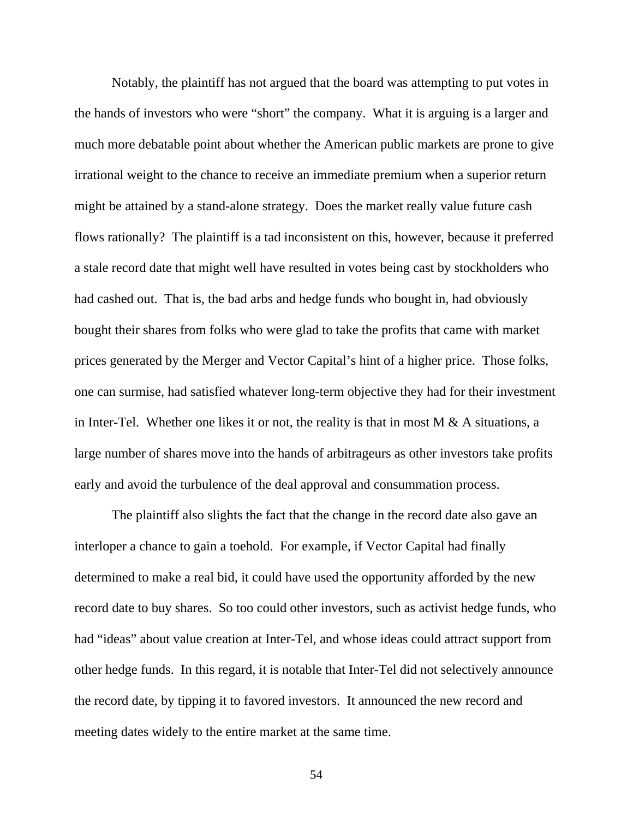Notably, the plaintiff has not argued that the board was attempting to put votes in the hands of investors who were "short" the company. What it is arguing is a larger and much more debatable point about whether the American public markets are prone to give irrational weight to the chance to receive an immediate premium when a superior return might be attained by a stand-alone strategy. Does the market really value future cash flows rationally? The plaintiff is a tad inconsistent on this, however, because it preferred a stale record date that might well have resulted in votes being cast by stockholders who had cashed out. That is, the bad arbs and hedge funds who bought in, had obviously bought their shares from folks who were glad to take the profits that came with market prices generated by the Merger and Vector Capital's hint of a higher price. Those folks, one can surmise, had satisfied whatever long-term objective they had for their investment in Inter-Tel. Whether one likes it or not, the reality is that in most  $M \& A$  situations, a large number of shares move into the hands of arbitrageurs as other investors take profits early and avoid the turbulence of the deal approval and consummation process.

 The plaintiff also slights the fact that the change in the record date also gave an interloper a chance to gain a toehold. For example, if Vector Capital had finally determined to make a real bid, it could have used the opportunity afforded by the new record date to buy shares. So too could other investors, such as activist hedge funds, who had "ideas" about value creation at Inter-Tel, and whose ideas could attract support from other hedge funds. In this regard, it is notable that Inter-Tel did not selectively announce the record date, by tipping it to favored investors. It announced the new record and meeting dates widely to the entire market at the same time.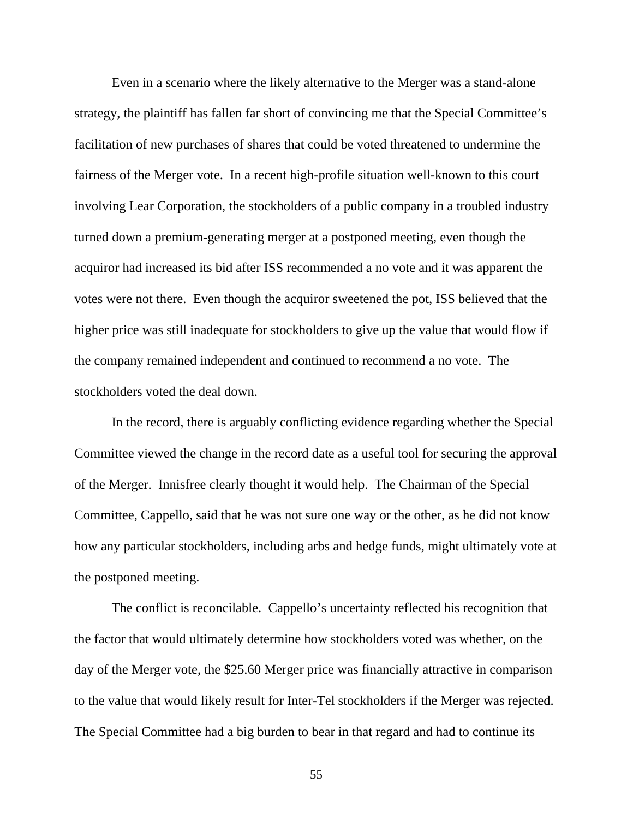Even in a scenario where the likely alternative to the Merger was a stand-alone strategy, the plaintiff has fallen far short of convincing me that the Special Committee's facilitation of new purchases of shares that could be voted threatened to undermine the fairness of the Merger vote. In a recent high-profile situation well-known to this court involving Lear Corporation, the stockholders of a public company in a troubled industry turned down a premium-generating merger at a postponed meeting, even though the acquiror had increased its bid after ISS recommended a no vote and it was apparent the votes were not there. Even though the acquiror sweetened the pot, ISS believed that the higher price was still inadequate for stockholders to give up the value that would flow if the company remained independent and continued to recommend a no vote. The stockholders voted the deal down.

 In the record, there is arguably conflicting evidence regarding whether the Special Committee viewed the change in the record date as a useful tool for securing the approval of the Merger. Innisfree clearly thought it would help. The Chairman of the Special Committee, Cappello, said that he was not sure one way or the other, as he did not know how any particular stockholders, including arbs and hedge funds, might ultimately vote at the postponed meeting.

The conflict is reconcilable. Cappello's uncertainty reflected his recognition that the factor that would ultimately determine how stockholders voted was whether, on the day of the Merger vote, the \$25.60 Merger price was financially attractive in comparison to the value that would likely result for Inter-Tel stockholders if the Merger was rejected. The Special Committee had a big burden to bear in that regard and had to continue its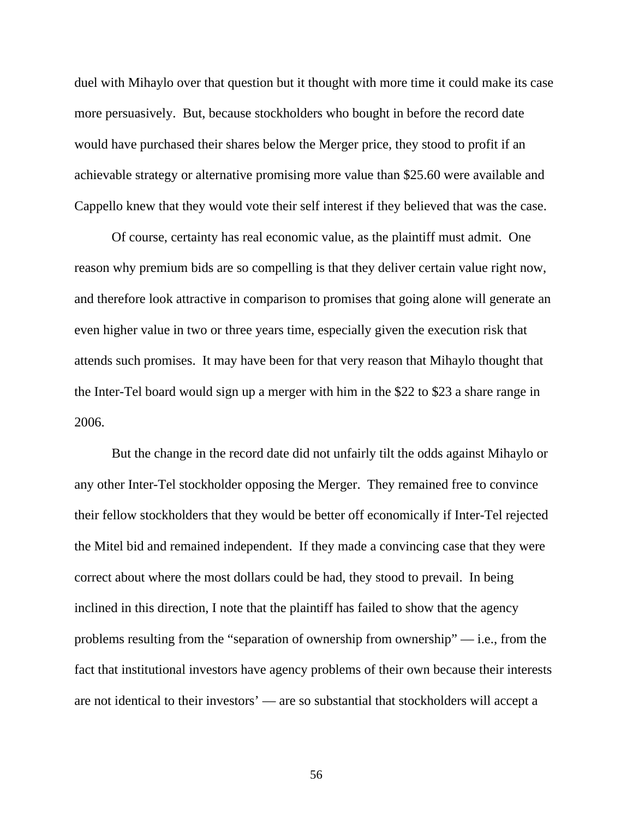duel with Mihaylo over that question but it thought with more time it could make its case more persuasively. But, because stockholders who bought in before the record date would have purchased their shares below the Merger price, they stood to profit if an achievable strategy or alternative promising more value than \$25.60 were available and Cappello knew that they would vote their self interest if they believed that was the case.

Of course, certainty has real economic value, as the plaintiff must admit. One reason why premium bids are so compelling is that they deliver certain value right now, and therefore look attractive in comparison to promises that going alone will generate an even higher value in two or three years time, especially given the execution risk that attends such promises. It may have been for that very reason that Mihaylo thought that the Inter-Tel board would sign up a merger with him in the \$22 to \$23 a share range in 2006.

 But the change in the record date did not unfairly tilt the odds against Mihaylo or any other Inter-Tel stockholder opposing the Merger. They remained free to convince their fellow stockholders that they would be better off economically if Inter-Tel rejected the Mitel bid and remained independent. If they made a convincing case that they were correct about where the most dollars could be had, they stood to prevail. In being inclined in this direction, I note that the plaintiff has failed to show that the agency problems resulting from the "separation of ownership from ownership" — i.e., from the fact that institutional investors have agency problems of their own because their interests are not identical to their investors' — are so substantial that stockholders will accept a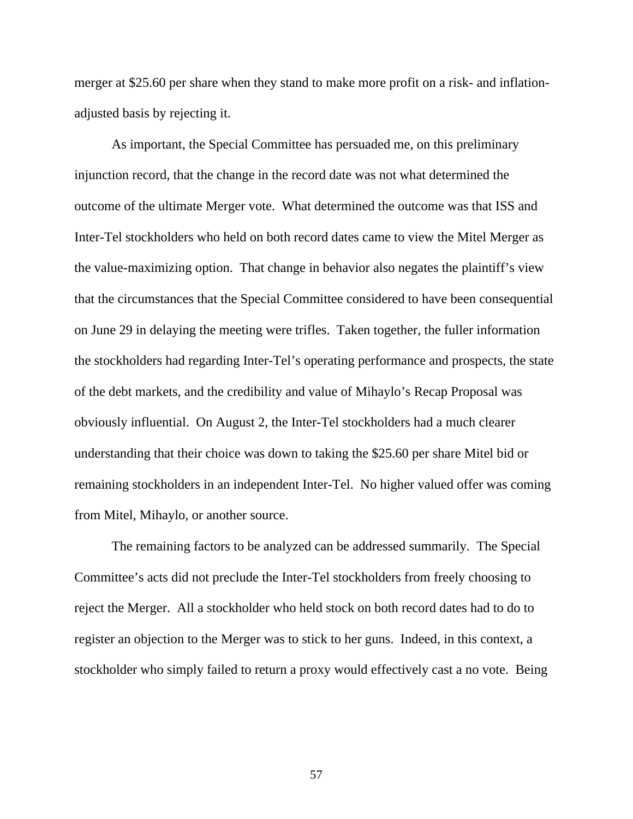merger at \$25.60 per share when they stand to make more profit on a risk- and inflationadjusted basis by rejecting it.

As important, the Special Committee has persuaded me, on this preliminary injunction record, that the change in the record date was not what determined the outcome of the ultimate Merger vote. What determined the outcome was that ISS and Inter-Tel stockholders who held on both record dates came to view the Mitel Merger as the value-maximizing option. That change in behavior also negates the plaintiff's view that the circumstances that the Special Committee considered to have been consequential on June 29 in delaying the meeting were trifles. Taken together, the fuller information the stockholders had regarding Inter-Tel's operating performance and prospects, the state of the debt markets, and the credibility and value of Mihaylo's Recap Proposal was obviously influential. On August 2, the Inter-Tel stockholders had a much clearer understanding that their choice was down to taking the \$25.60 per share Mitel bid or remaining stockholders in an independent Inter-Tel. No higher valued offer was coming from Mitel, Mihaylo, or another source.

The remaining factors to be analyzed can be addressed summarily. The Special Committee's acts did not preclude the Inter-Tel stockholders from freely choosing to reject the Merger. All a stockholder who held stock on both record dates had to do to register an objection to the Merger was to stick to her guns. Indeed, in this context, a stockholder who simply failed to return a proxy would effectively cast a no vote. Being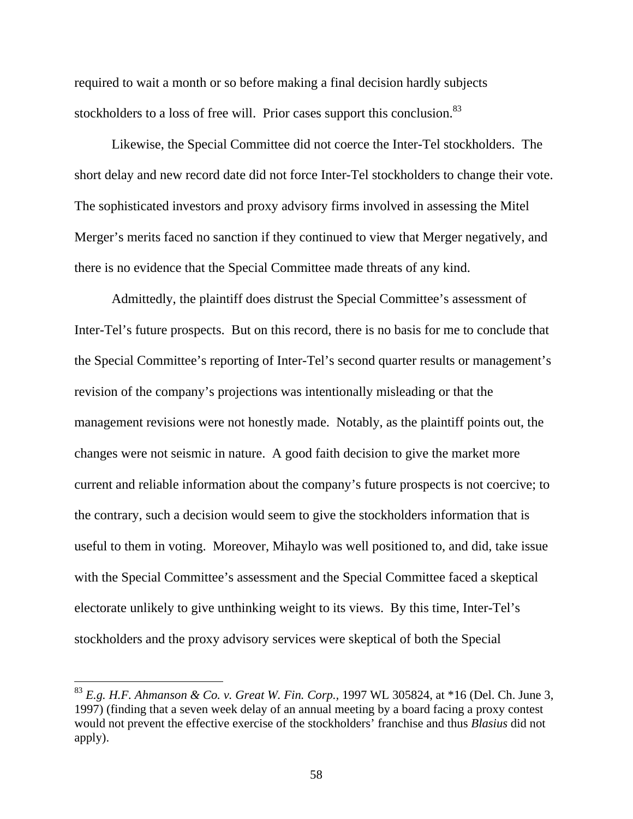required to wait a month or so before making a final decision hardly subjects stockholders to a loss of free will. Prior cases support this conclusion.<sup>83</sup>

Likewise, the Special Committee did not coerce the Inter-Tel stockholders. The short delay and new record date did not force Inter-Tel stockholders to change their vote. The sophisticated investors and proxy advisory firms involved in assessing the Mitel Merger's merits faced no sanction if they continued to view that Merger negatively, and there is no evidence that the Special Committee made threats of any kind.

Admittedly, the plaintiff does distrust the Special Committee's assessment of Inter-Tel's future prospects. But on this record, there is no basis for me to conclude that the Special Committee's reporting of Inter-Tel's second quarter results or management's revision of the company's projections was intentionally misleading or that the management revisions were not honestly made. Notably, as the plaintiff points out, the changes were not seismic in nature. A good faith decision to give the market more current and reliable information about the company's future prospects is not coercive; to the contrary, such a decision would seem to give the stockholders information that is useful to them in voting. Moreover, Mihaylo was well positioned to, and did, take issue with the Special Committee's assessment and the Special Committee faced a skeptical electorate unlikely to give unthinking weight to its views. By this time, Inter-Tel's stockholders and the proxy advisory services were skeptical of both the Special

<sup>83</sup> *E.g. H.F. Ahmanson & Co. v. Great W. Fin. Corp.,* 1997 WL 305824, at \*16 (Del. Ch. June 3, 1997) (finding that a seven week delay of an annual meeting by a board facing a proxy contest would not prevent the effective exercise of the stockholders' franchise and thus *Blasius* did not apply).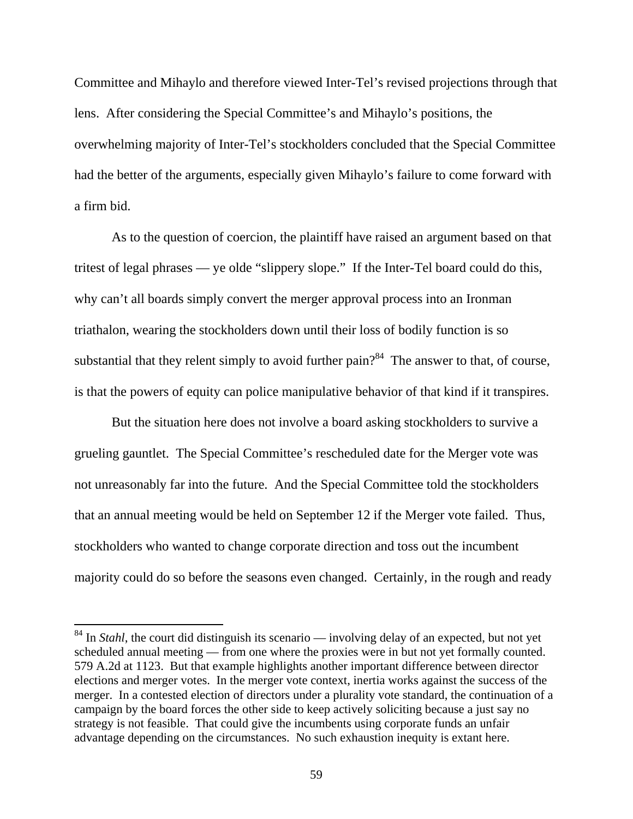Committee and Mihaylo and therefore viewed Inter-Tel's revised projections through that lens. After considering the Special Committee's and Mihaylo's positions, the overwhelming majority of Inter-Tel's stockholders concluded that the Special Committee had the better of the arguments, especially given Mihaylo's failure to come forward with a firm bid.

As to the question of coercion, the plaintiff have raised an argument based on that tritest of legal phrases — ye olde "slippery slope." If the Inter-Tel board could do this, why can't all boards simply convert the merger approval process into an Ironman triathalon, wearing the stockholders down until their loss of bodily function is so substantial that they relent simply to avoid further pain?<sup>84</sup> The answer to that, of course, is that the powers of equity can police manipulative behavior of that kind if it transpires.

But the situation here does not involve a board asking stockholders to survive a grueling gauntlet. The Special Committee's rescheduled date for the Merger vote was not unreasonably far into the future. And the Special Committee told the stockholders that an annual meeting would be held on September 12 if the Merger vote failed. Thus, stockholders who wanted to change corporate direction and toss out the incumbent majority could do so before the seasons even changed. Certainly, in the rough and ready

<sup>&</sup>lt;sup>84</sup> In *Stahl*, the court did distinguish its scenario — involving delay of an expected, but not yet scheduled annual meeting — from one where the proxies were in but not yet formally counted. 579 A.2d at 1123. But that example highlights another important difference between director elections and merger votes. In the merger vote context, inertia works against the success of the merger. In a contested election of directors under a plurality vote standard, the continuation of a campaign by the board forces the other side to keep actively soliciting because a just say no strategy is not feasible. That could give the incumbents using corporate funds an unfair advantage depending on the circumstances. No such exhaustion inequity is extant here.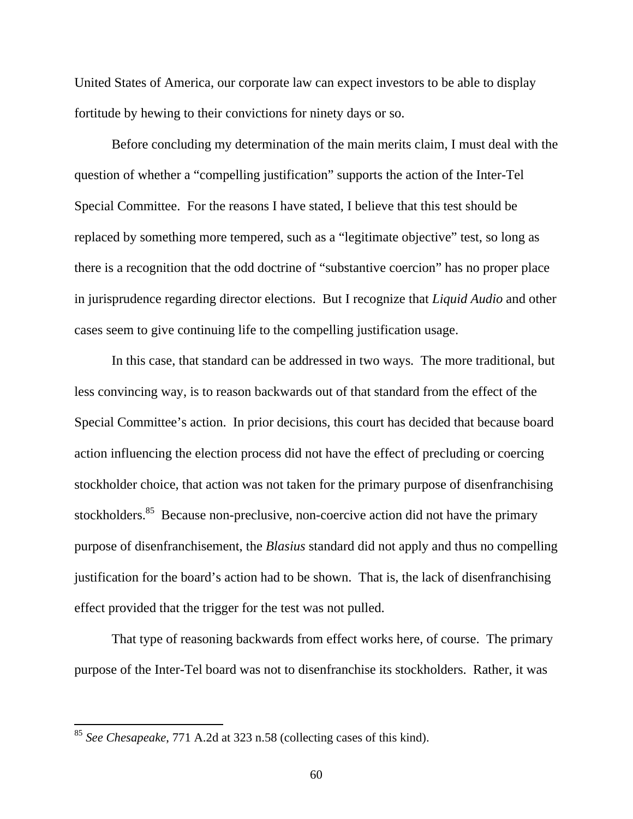United States of America, our corporate law can expect investors to be able to display fortitude by hewing to their convictions for ninety days or so.

Before concluding my determination of the main merits claim, I must deal with the question of whether a "compelling justification" supports the action of the Inter-Tel Special Committee. For the reasons I have stated, I believe that this test should be replaced by something more tempered, such as a "legitimate objective" test, so long as there is a recognition that the odd doctrine of "substantive coercion" has no proper place in jurisprudence regarding director elections. But I recognize that *Liquid Audio* and other cases seem to give continuing life to the compelling justification usage.

In this case, that standard can be addressed in two ways. The more traditional, but less convincing way, is to reason backwards out of that standard from the effect of the Special Committee's action. In prior decisions, this court has decided that because board action influencing the election process did not have the effect of precluding or coercing stockholder choice, that action was not taken for the primary purpose of disenfranchising stockholders.<sup>85</sup> Because non-preclusive, non-coercive action did not have the primary purpose of disenfranchisement, the *Blasius* standard did not apply and thus no compelling justification for the board's action had to be shown. That is, the lack of disenfranchising effect provided that the trigger for the test was not pulled.

That type of reasoning backwards from effect works here, of course. The primary purpose of the Inter-Tel board was not to disenfranchise its stockholders. Rather, it was

<sup>85</sup> *See Chesapeake*, 771 A.2d at 323 n.58 (collecting cases of this kind).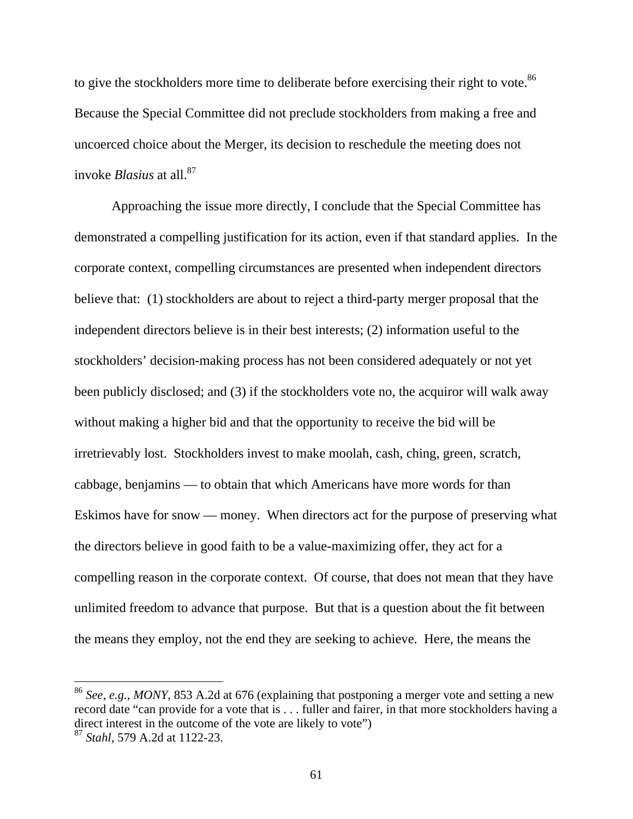to give the stockholders more time to deliberate before exercising their right to vote.<sup>86</sup> Because the Special Committee did not preclude stockholders from making a free and uncoerced choice about the Merger, its decision to reschedule the meeting does not invoke *Blasius* at all.<sup>87</sup>

Approaching the issue more directly, I conclude that the Special Committee has demonstrated a compelling justification for its action, even if that standard applies. In the corporate context, compelling circumstances are presented when independent directors believe that: (1) stockholders are about to reject a third-party merger proposal that the independent directors believe is in their best interests; (2) information useful to the stockholders' decision-making process has not been considered adequately or not yet been publicly disclosed; and (3) if the stockholders vote no, the acquiror will walk away without making a higher bid and that the opportunity to receive the bid will be irretrievably lost. Stockholders invest to make moolah, cash, ching, green, scratch, cabbage, benjamins — to obtain that which Americans have more words for than Eskimos have for snow — money. When directors act for the purpose of preserving what the directors believe in good faith to be a value-maximizing offer, they act for a compelling reason in the corporate context. Of course, that does not mean that they have unlimited freedom to advance that purpose. But that is a question about the fit between the means they employ, not the end they are seeking to achieve. Here, the means the

<sup>86</sup> *See, e.g., MONY*, 853 A.2d at 676 (explaining that postponing a merger vote and setting a new record date "can provide for a vote that is . . . fuller and fairer, in that more stockholders having a direct interest in the outcome of the vote are likely to vote")

<sup>87</sup> *Stahl*, 579 A.2d at 1122-23.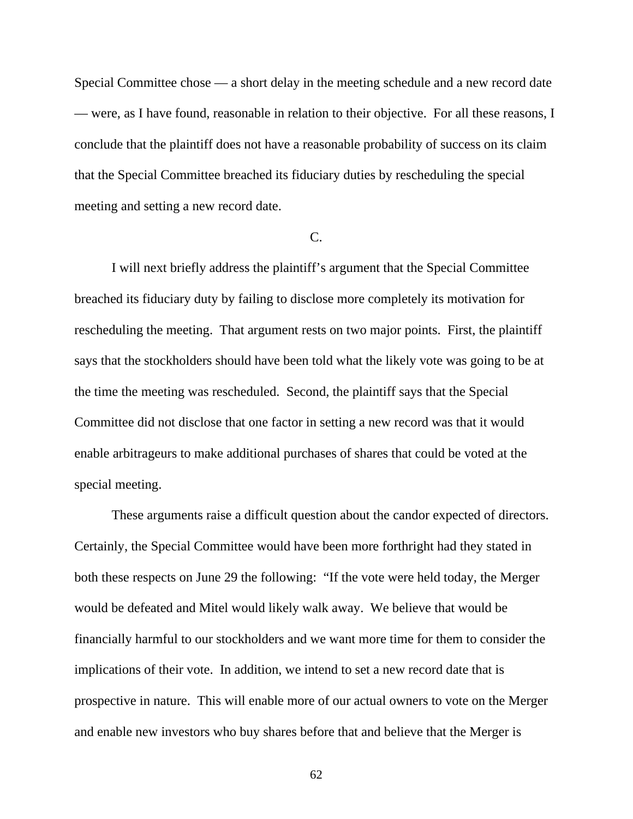Special Committee chose — a short delay in the meeting schedule and a new record date — were, as I have found, reasonable in relation to their objective. For all these reasons, I conclude that the plaintiff does not have a reasonable probability of success on its claim that the Special Committee breached its fiduciary duties by rescheduling the special meeting and setting a new record date.

#### C.

I will next briefly address the plaintiff's argument that the Special Committee breached its fiduciary duty by failing to disclose more completely its motivation for rescheduling the meeting. That argument rests on two major points. First, the plaintiff says that the stockholders should have been told what the likely vote was going to be at the time the meeting was rescheduled. Second, the plaintiff says that the Special Committee did not disclose that one factor in setting a new record was that it would enable arbitrageurs to make additional purchases of shares that could be voted at the special meeting.

These arguments raise a difficult question about the candor expected of directors. Certainly, the Special Committee would have been more forthright had they stated in both these respects on June 29 the following: "If the vote were held today, the Merger would be defeated and Mitel would likely walk away. We believe that would be financially harmful to our stockholders and we want more time for them to consider the implications of their vote. In addition, we intend to set a new record date that is prospective in nature. This will enable more of our actual owners to vote on the Merger and enable new investors who buy shares before that and believe that the Merger is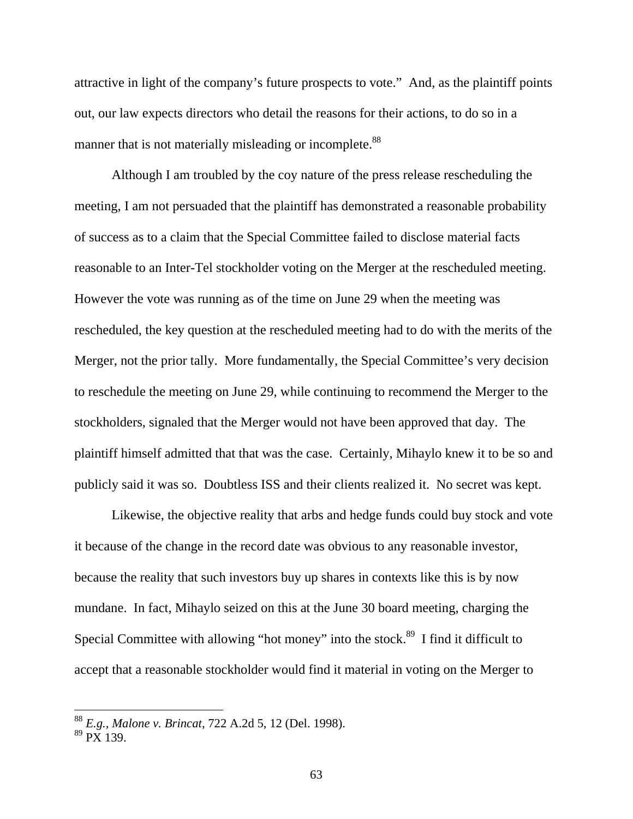attractive in light of the company's future prospects to vote." And, as the plaintiff points out, our law expects directors who detail the reasons for their actions, to do so in a manner that is not materially misleading or incomplete.<sup>88</sup>

Although I am troubled by the coy nature of the press release rescheduling the meeting, I am not persuaded that the plaintiff has demonstrated a reasonable probability of success as to a claim that the Special Committee failed to disclose material facts reasonable to an Inter-Tel stockholder voting on the Merger at the rescheduled meeting. However the vote was running as of the time on June 29 when the meeting was rescheduled, the key question at the rescheduled meeting had to do with the merits of the Merger, not the prior tally. More fundamentally, the Special Committee's very decision to reschedule the meeting on June 29, while continuing to recommend the Merger to the stockholders, signaled that the Merger would not have been approved that day. The plaintiff himself admitted that that was the case. Certainly, Mihaylo knew it to be so and publicly said it was so. Doubtless ISS and their clients realized it. No secret was kept.

Likewise, the objective reality that arbs and hedge funds could buy stock and vote it because of the change in the record date was obvious to any reasonable investor, because the reality that such investors buy up shares in contexts like this is by now mundane. In fact, Mihaylo seized on this at the June 30 board meeting, charging the Special Committee with allowing "hot money" into the stock.<sup>89</sup> I find it difficult to accept that a reasonable stockholder would find it material in voting on the Merger to

<sup>88</sup> *E.g., Malone v. Brincat*, 722 A.2d 5, 12 (Del. 1998).

 $89 \,\mathrm{pX}$  139.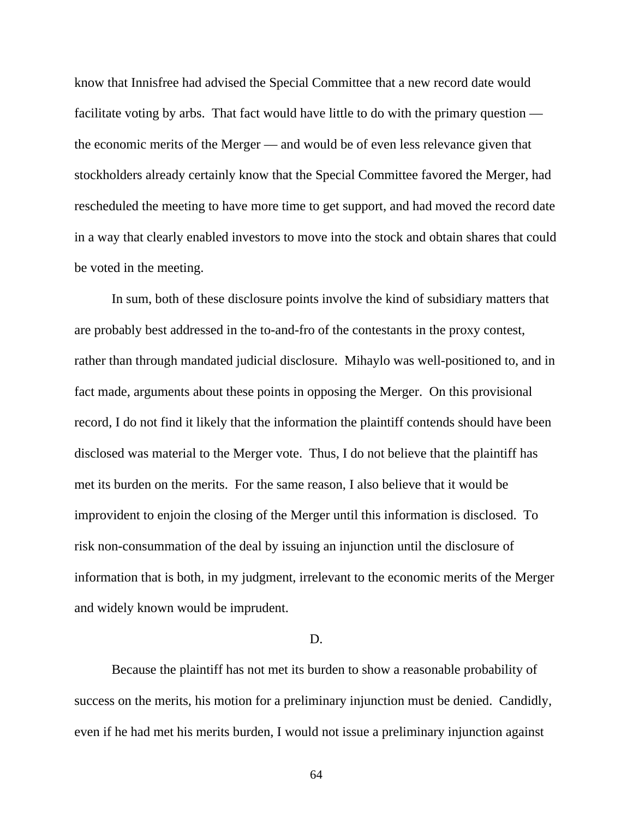know that Innisfree had advised the Special Committee that a new record date would facilitate voting by arbs. That fact would have little to do with the primary question the economic merits of the Merger — and would be of even less relevance given that stockholders already certainly know that the Special Committee favored the Merger, had rescheduled the meeting to have more time to get support, and had moved the record date in a way that clearly enabled investors to move into the stock and obtain shares that could be voted in the meeting.

In sum, both of these disclosure points involve the kind of subsidiary matters that are probably best addressed in the to-and-fro of the contestants in the proxy contest, rather than through mandated judicial disclosure. Mihaylo was well-positioned to, and in fact made, arguments about these points in opposing the Merger. On this provisional record, I do not find it likely that the information the plaintiff contends should have been disclosed was material to the Merger vote. Thus, I do not believe that the plaintiff has met its burden on the merits. For the same reason, I also believe that it would be improvident to enjoin the closing of the Merger until this information is disclosed. To risk non-consummation of the deal by issuing an injunction until the disclosure of information that is both, in my judgment, irrelevant to the economic merits of the Merger and widely known would be imprudent.

#### D.

Because the plaintiff has not met its burden to show a reasonable probability of success on the merits, his motion for a preliminary injunction must be denied. Candidly, even if he had met his merits burden, I would not issue a preliminary injunction against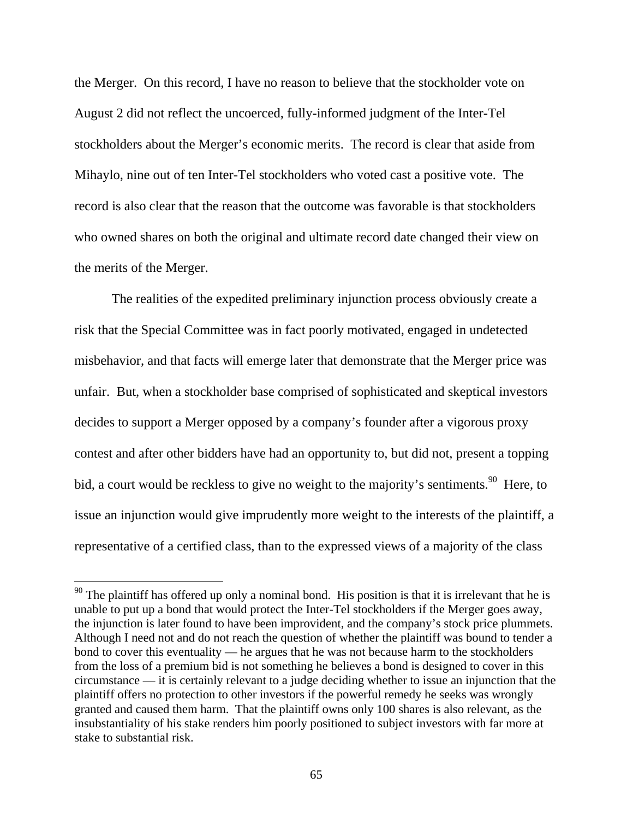the Merger. On this record, I have no reason to believe that the stockholder vote on August 2 did not reflect the uncoerced, fully-informed judgment of the Inter-Tel stockholders about the Merger's economic merits. The record is clear that aside from Mihaylo, nine out of ten Inter-Tel stockholders who voted cast a positive vote. The record is also clear that the reason that the outcome was favorable is that stockholders who owned shares on both the original and ultimate record date changed their view on the merits of the Merger.

The realities of the expedited preliminary injunction process obviously create a risk that the Special Committee was in fact poorly motivated, engaged in undetected misbehavior, and that facts will emerge later that demonstrate that the Merger price was unfair. But, when a stockholder base comprised of sophisticated and skeptical investors decides to support a Merger opposed by a company's founder after a vigorous proxy contest and after other bidders have had an opportunity to, but did not, present a topping bid, a court would be reckless to give no weight to the majority's sentiments.<sup>90</sup> Here, to issue an injunction would give imprudently more weight to the interests of the plaintiff, a representative of a certified class, than to the expressed views of a majority of the class

 $90$  The plaintiff has offered up only a nominal bond. His position is that it is irrelevant that he is unable to put up a bond that would protect the Inter-Tel stockholders if the Merger goes away, the injunction is later found to have been improvident, and the company's stock price plummets. Although I need not and do not reach the question of whether the plaintiff was bound to tender a bond to cover this eventuality — he argues that he was not because harm to the stockholders from the loss of a premium bid is not something he believes a bond is designed to cover in this circumstance — it is certainly relevant to a judge deciding whether to issue an injunction that the plaintiff offers no protection to other investors if the powerful remedy he seeks was wrongly granted and caused them harm. That the plaintiff owns only 100 shares is also relevant, as the insubstantiality of his stake renders him poorly positioned to subject investors with far more at stake to substantial risk.